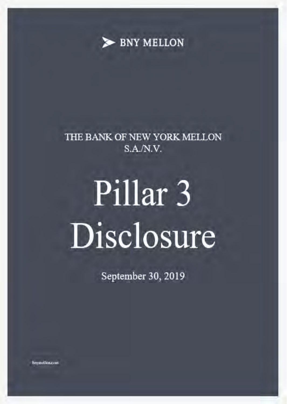

# THE BANK OF NEW YORK MELLON  $S.A.N.V.$

# Pillar 3 Disclosure

September 30, 2019

bayinel lost com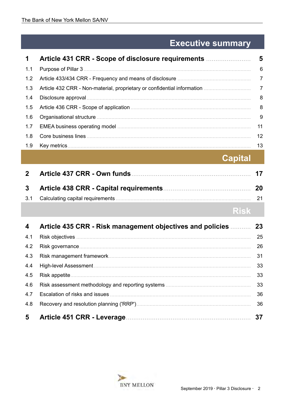# **Executive summary**

| $\mathbf 1$ |     |
|-------------|-----|
| 1.1         | 6   |
| 1.2         |     |
| 1.3         |     |
| 1.4         | - 8 |
| 1.5         | - 8 |
| 1.6         | - 9 |
| 1.7         | 11  |
| 1.8         | 12  |
| 1.9         | 13  |
|             |     |

**Capital** 

| 2 <sup>2</sup> |             |    |
|----------------|-------------|----|
| 3 <sup>1</sup> |             | 20 |
|                |             |    |
|                | <b>Risk</b> |    |

| 4              | Article 435 CRR - Risk management objectives and policies | 23 |
|----------------|-----------------------------------------------------------|----|
| 4.1            |                                                           | 25 |
| 4.2            |                                                           | 26 |
| 4.3            |                                                           | 31 |
| 4.4            |                                                           | 33 |
| 4.5            |                                                           | 33 |
| 4.6            |                                                           | 33 |
| 4.7            |                                                           | 36 |
| 4.8            |                                                           | 36 |
| 5 <sup>5</sup> |                                                           | 37 |

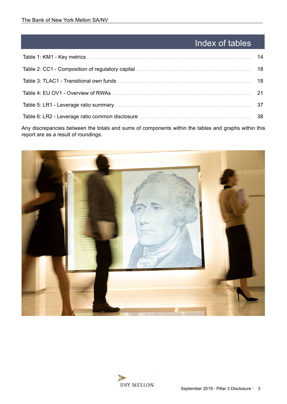# Index of tables

| 14 |
|----|
| 18 |
| 18 |
| 21 |
| 37 |
| 38 |
|    |

Any discrepancies between the totals and sums of components within the tables and graphs within this report are as a result of roundings.



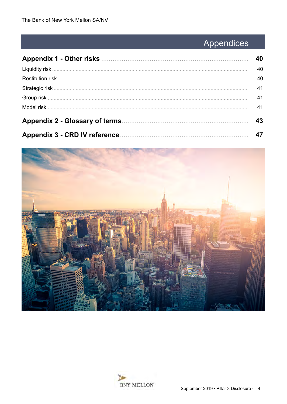# Appendices

|                                                                           | 40 |
|---------------------------------------------------------------------------|----|
|                                                                           | 40 |
|                                                                           | 40 |
|                                                                           | 41 |
|                                                                           | 41 |
|                                                                           | 41 |
|                                                                           | 43 |
| Appendix 3 - CRD IV reference <b>Manual Appendix 3</b> - CRD IV reference |    |



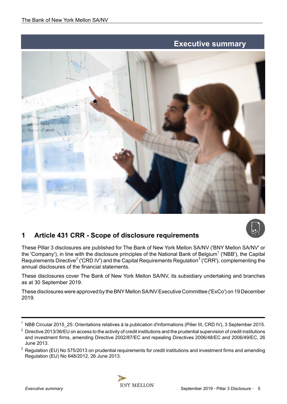# **Executive summary**

<span id="page-4-0"></span>



# **1 Article 431 CRR - Scope of disclosure requirements**

These Pillar 3 disclosures are published for The Bank of New York Mellon SA/NV ('BNY Mellon SA/NV' or the 'Company'), in line with the disclosure principles of the National Bank of Belgium<sup>1</sup> ('NBB'), the Capital Requirements Directive<sup>2</sup> ('CRD IV') and the Capital Requirements Regulation<sup>3</sup> ('CRR'), complementing the annual disclosures of the financial statements.

These disclosures cover The Bank of New York Mellon SA/NV, its subsidiary undertaking and branches as at 30 September 2019.

These disclosures were approved by the BNY Mellon SA/NV Executive Committee ('ExCo') on 19 December 2019.

<sup>&</sup>lt;sup>3</sup> Regulation (EU) No 575/2013 on prudential requirements for credit institutions and investment firms and amending Regulation (EU) No 648/2012, 26 June 2013.



NBB Circular 2015 25: Orientations relatives à la publication d'informations (Pilier III, CRD IV), 3 September 2015.

 $2$  Directive 2013/36/EU on access to the activity of credit institutions and the prudential supervision of credit institutions and investment firms, amending Directive 2002/87/EC and repealing Directives 2006/48/EC and 2006/49/EC, 26 June 2013.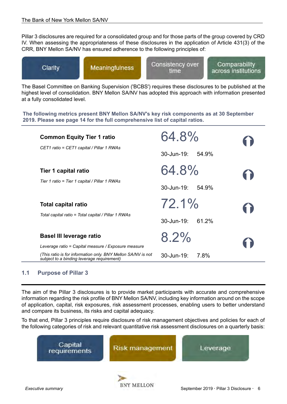<span id="page-5-0"></span>Pillar 3 disclosures are required for a consolidated group and for those parts of the group covered by CRD IV. When assessing the appropriateness of these disclosures in the application of Article 431(3) of the CRR, BNY Mellon SA/NV has ensured adherence to the following principles of:



The Basel Committee on Banking Supervision ('BCBS') requires these disclosures to be published at the highest level of consolidation. BNY Mellon SA/NV has adopted this approach with information presented at a fully consolidated level.

**The following metrics present BNY Mellon SA/NV's key risk components as at 30 September 2019. Please see page [14](#page-13-0) for the full comprehensive list of capital ratios.**

| <b>Common Equity Tier 1 ratio</b>                                                                          | 64.8%               |    |
|------------------------------------------------------------------------------------------------------------|---------------------|----|
| CET1 ratio = CET1 capital / Pillar 1 RWAs                                                                  | 30-Jun-19:<br>54.9% |    |
| Tier 1 capital ratio                                                                                       | 64.8%               | 11 |
| Tier 1 ratio = Tier 1 capital / Pillar 1 RWAs                                                              | 30-Jun-19:<br>54.9% |    |
| <b>Total capital ratio</b>                                                                                 | $72.1\%$            | 6  |
| Total capital ratio = Total capital / Pillar 1 RWAs                                                        | 30-Jun-19:<br>61.2% |    |
| <b>Basel III leverage ratio</b>                                                                            | $8.2\%$             |    |
| Leverage ratio = Capital measure / Exposure measure                                                        |                     |    |
| (This ratio is for information only. BNY Mellon SA/NV is not<br>subject to a binding leverage requirement) | 30-Jun-19:<br>7.8%  |    |

# **1.1 Purpose of Pillar 3**

The aim of the Pillar 3 disclosures is to provide market participants with accurate and comprehensive information regarding the risk profile of BNY Mellon SA/NV, including key information around on the scope of application, capital, risk exposures, risk assessment processes, enabling users to better understand and compare its business, its risks and capital adequacy.

To that end, Pillar 3 principles require disclosure of risk management objectives and policies for each of the following categories of risk and relevant quantitative risk assessment disclosures on a quarterly basis:

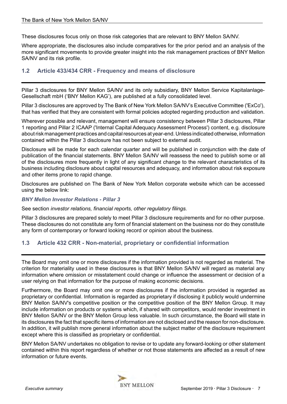<span id="page-6-0"></span>These disclosures focus only on those risk categories that are relevant to BNY Mellon SA/NV.

Where appropriate, the disclosures also include comparatives for the prior period and an analysis of the more significant movements to provide greater insight into the risk management practices of BNY Mellon SA/NV and its risk profile.

# **1.2 Article 433/434 CRR - Frequency and means of disclosure**

Pillar 3 disclosures for BNY Mellon SA/NV and its only subsidiary, BNY Mellon Service Kapitalanlage-Gesellschaft mbH ('BNY Mellon KAG'), are published at a fully consolidated level.

Pillar 3 disclosures are approved by The Bank of New York Mellon SA/NV's Executive Committee ('ExCo'), that has verified that they are consistent with formal policies adopted regarding production and validation.

Wherever possible and relevant, management will ensure consistency between Pillar 3 disclosures, Pillar 1 reporting and Pillar 2 ICAAP ('Internal Capital Adequacy Assessment Process') content, e.g. disclosure about risk management practices and capital resources at year-end. Unless indicated otherwise, information contained within the Pillar 3 disclosure has not been subject to external audit.

Disclosure will be made for each calendar quarter and will be published in conjunction with the date of publication of the financial statements. BNY Mellon SA/NV will reassess the need to publish some or all of the disclosures more frequently in light of any significant change to the relevant characteristics of its business including disclosure about capital resources and adequacy, and information about risk exposure and other items prone to rapid change.

Disclosures are published on The Bank of New York Mellon corporate website which can be accessed using the below link:

#### *[BNY Mellon Investor Relations - Pillar 3](https://www.bnymellon.com/us/en/investor-relations/other-regulatory.jsp#pillar3)*

See section *investor relations, financial reports, other regulatory filings.*

Pillar 3 disclosures are prepared solely to meet Pillar 3 disclosure requirements and for no other purpose. These disclosures do not constitute any form of financial statement on the business nor do they constitute any form of contemporary or forward looking record or opinion about the business.

# **1.3 Article 432 CRR - Non-material, proprietary or confidential information**

The Board may omit one or more disclosures if the information provided is not regarded as material. The criterion for materiality used in these disclosures is that BNY Mellon SA/NV will regard as material any information where omission or misstatement could change or influence the assessment or decision of a user relying on that information for the purpose of making economic decisions.

Furthermore, the Board may omit one or more disclosures if the information provided is regarded as proprietary or confidential. Information is regarded as proprietary if disclosing it publicly would undermine BNY Mellon SA/NV's competitive position or the competitive position of the BNY Mellon Group. It may include information on products or systems which, if shared with competitors, would render investment in BNY Mellon SA/NV or the BNY Mellon Group less valuable. In such circumstance, the Board will state in its disclosures the fact that specific items of information are not disclosed and the reason for non-disclosure. In addition, it will publish more general information about the subject matter of the disclosure requirement except where this is classified as proprietary or confidential.

BNY Mellon SA/NV undertakes no obligation to revise or to update any forward-looking or other statement contained within this report regardless of whether or not those statements are affected as a result of new information or future events.

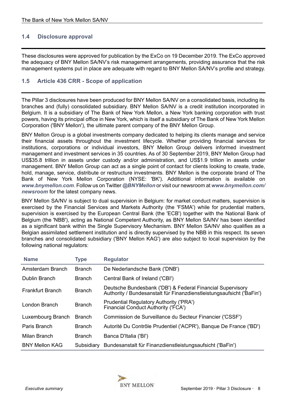# <span id="page-7-0"></span>**1.4 Disclosure approval**

These disclosures were approved for publication by the ExCo on 19 December 2019. The ExCo approved the adequacy of BNY Mellon SA/NV's risk management arrangements, providing assurance that the risk management systems put in place are adequate with regard to BNY Mellon SA/NV's profile and strategy.

# **1.5 Article 436 CRR - Scope of application**

The Pillar 3 disclosures have been produced for BNY Mellon SA/NV on a consolidated basis, including its branches and (fully) consolidated subsidiary. BNY Mellon SA/NV is a credit institution incorporated in Belgium. It is a subsidiary of The Bank of New York Mellon, a New York banking corporation with trust powers, having its principal office in New York, which is itself a subsidiary of The Bank of New York Mellon Corporation ('BNY Mellon'), the ultimate parent company of the BNY Mellon Group.

BNY Mellon Group is a global investments company dedicated to helping its clients manage and service their financial assets throughout the investment lifecycle. Whether providing financial services for institutions, corporations or individual investors, BNY Mellon Group delivers informed investment management and investment services in 35 countries. As of 30 September 2019, BNY Mellon Group had US\$35.8 trillion in assets under custody and/or administration, and US\$1.9 trillion in assets under management. BNY Mellon Group can act as a single point of contact for clients looking to create, trade, hold, manage, service, distribute or restructure investments. BNY Mellon is the corporate brand of The Bank of New York Mellon Corporation (NYSE: 'BK'). Additional information is available on *[www.bnymellon.com](https://www.bnymellon.com/emea/en/home.jsp)*. Follow us on Twitter *@BNYMellon* or visit our newsroom at *[www.bnymellon.com/](https://www.bnymellon.com/us/en/newsroom/index.jsp#?region=789%26page=1) [newsroom](https://www.bnymellon.com/us/en/newsroom/index.jsp#?region=789%26page=1)* for the latest company news.

BNY Mellon SA/NV is subject to dual supervision in Belgium: for market conduct matters, supervision is exercised by the Financial Services and Markets Authority (the 'FSMA') while for prudential matters, supervision is exercised by the European Central Bank (the 'ECB') together with the National Bank of Belgium (the 'NBB'), acting as National Competent Authority, as BNY Mellon SA/NV has been identified as a significant bank within the Single Supervisory Mechanism. BNY Mellon SA/NV also qualifies as a Belgian assimilated settlement institution and is directly supervised by the NBB in this respect. Its seven branches and consolidated subsidiary ('BNY Mellon KAG') are also subject to local supervision by the following national regulators:

| <b>Name</b>             | <b>Type</b>   | <b>Regulator</b>                                                                                                                    |
|-------------------------|---------------|-------------------------------------------------------------------------------------------------------------------------------------|
| Amsterdam Branch        | <b>Branch</b> | De Nederlandsche Bank ('DNB')                                                                                                       |
| <b>Dublin Branch</b>    | <b>Branch</b> | Central Bank of Ireland ('CBI')                                                                                                     |
| <b>Frankfurt Branch</b> | <b>Branch</b> | Deutsche Bundesbank ('DB') & Federal Financial Supervisory<br>Authority / Bundesanstalt für Finanzdienstleistungsaufsicht ('BaFin') |
| London Branch           | <b>Branch</b> | <b>Prudential Regulatory Authority ('PRA')</b><br>Financial Conduct Authority ('FCA')                                               |
| Luxembourg Branch       | <b>Branch</b> | Commission de Surveillance du Secteur Financier ('CSSF')                                                                            |
| Paris Branch            | <b>Branch</b> | Autorité Du Contrôle Prudentiel ('ACPR'), Banque De France ('BD')                                                                   |
| Milan Branch            | <b>Branch</b> | Banca D'Italia ('BI')                                                                                                               |
| <b>BNY Mellon KAG</b>   | Subsidiary    | Bundesanstalt für Finanzdienstleistungsaufsicht ('BaFin')                                                                           |

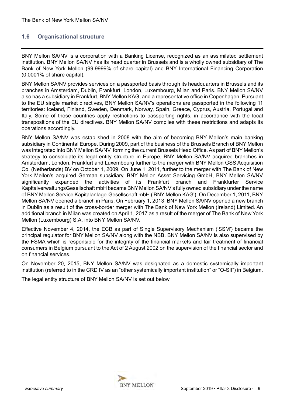# <span id="page-8-0"></span>**1.6 Organisational structure**

BNY Mellon SA/NV is a corporation with a Banking License, recognized as an assimilated settlement institution. BNY Mellon SA/NV has its head quarter in Brussels and is a wholly owned subsidiary of The Bank of New York Mellon (99.9999% of share capital) and BNY International Financing Corporation (0.0001% of share capital).

BNY Mellon SA/NV provides services on a passported basis through its headquarters in Brussels and its branches in Amsterdam, Dublin, Frankfurt, London, Luxembourg, Milan and Paris. BNY Mellon SA/NV also has a subsidiary in Frankfurt, BNY Mellon KAG, and a representative office in Copenhagen. Pursuant to the EU single market directives, BNY Mellon SA/NV's operations are passported in the following 11 territories: Iceland, Finland, Sweden, Denmark, Norway, Spain, Greece, Cyprus, Austria, Portugal and Italy. Some of those countries apply restrictions to passporting rights, in accordance with the local transpositions of the EU directives. BNY Mellon SA/NV complies with these restrictions and adapts its operations accordingly.

BNY Mellon SA/NV was established in 2008 with the aim of becoming BNY Mellon's main banking subsidiary in Continental Europe. During 2009, part of the business of the Brussels Branch of BNY Mellon was integrated into BNY Mellon SA/NV, forming the current Brussels Head Office. As part of BNY Mellon's strategy to consolidate its legal entity structure in Europe, BNY Mellon SA/NV acquired branches in Amsterdam, London, Frankfurt and Luxembourg further to the merger with BNY Mellon GSS Acquisition Co. (Netherlands) BV on October 1, 2009. On June 1, 2011, further to the merger with The Bank of New York Mellon's acquired German subsidiary, BNY Mellon Asset Servicing GmbH, BNY Mellon SA/NV significantly expanded the activities of its Frankfurt branch and Frankfurter Service KapitalverwaltungsGesellschaft mbH became BNY Mellon SA/NV's fully owned subsidiary under the name of BNY Mellon Service Kapitalanlage-Gesellschaft mbH ('BNY Mellon KAG'). On December 1, 2011, BNY Mellon SA/NV opened a branch in Paris. On February 1, 2013, BNY Mellon SA/NV opened a new branch in Dublin as a result of the cross-border merger with The Bank of New York Mellon (Ireland) Limited. An additional branch in Milan was created on April 1, 2017 as a result of the merger of The Bank of New York Mellon (Luxembourg) S.A. into BNY Mellon SA/NV.

Effective November 4, 2014, the ECB as part of Single Supervisory Mechanism ('SSM') became the principal regulator for BNY Mellon SA/NV along with the NBB. BNY Mellon SA/NV is also supervised by the FSMA which is responsible for the integrity of the financial markets and fair treatment of financial consumers in Belgium pursuant to the Act of 2 August 2002 on the supervision of the financial sector and on financial services.

On November 20, 2015, BNY Mellon SA/NV was designated as a domestic systemically important institution (referred to in the CRD IV as an "other systemically important institution" or "O-SII") in Belgium.

The legal entity structure of BNY Mellon SA/NV is set out below.

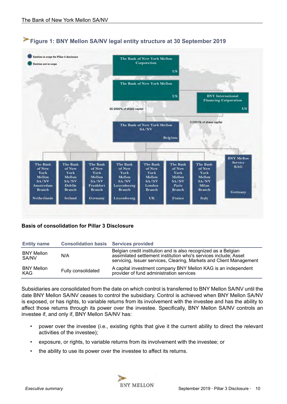

# **Figure 1: BNY Mellon SA/NV legal entity structure at 30 September 2019**

# **Basis of consolidation for Pillar 3 Disclosure**

| <b>Entity name</b>              | <b>Consolidation basis Services provided</b> |                                                                                                                                                                                                           |
|---------------------------------|----------------------------------------------|-----------------------------------------------------------------------------------------------------------------------------------------------------------------------------------------------------------|
| <b>BNY Mellon</b><br>SA/NV      | N/A                                          | Belgian credit institution and is also recognized as a Belgian<br>assimilated settlement institution who's services include; Asset<br>servicing, Issuer services, Clearing, Markets and Client Management |
| <b>BNY Mellon</b><br><b>KAG</b> | Fully consolidated                           | A capital investment company BNY Mellon KAG is an independent<br>provider of fund administration services                                                                                                 |

Subsidiaries are consolidated from the date on which control is transferred to BNY Mellon SA/NV until the date BNY Mellon SA/NV ceases to control the subsidiary. Control is achieved when BNY Mellon SA/NV is exposed, or has rights, to variable returns from its involvement with the investee and has the ability to affect those returns through its power over the investee. Specifically, BNY Mellon SA/NV controls an investee if, and only if, BNY Mellon SA/NV has:

- power over the investee (i.e., existing rights that give it the current ability to direct the relevant activities of the investee);
- exposure, or rights, to variable returns from its involvement with the investee; or
- the ability to use its power over the investee to affect its returns.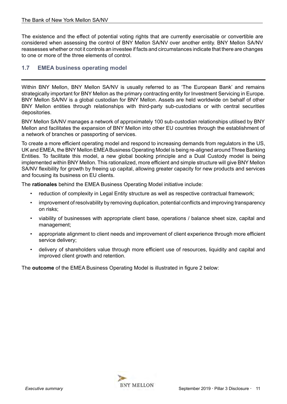<span id="page-10-0"></span>The existence and the effect of potential voting rights that are currently exercisable or convertible are considered when assessing the control of BNY Mellon SA/NV over another entity. BNY Mellon SA/NV reassesses whether or not it controls an investee if facts and circumstances indicate that there are changes to one or more of the three elements of control.

# **1.7 EMEA business operating model**

Within BNY Mellon, BNY Mellon SA/NV is usually referred to as 'The European Bank' and remains strategically important for BNY Mellon as the primary contracting entity for Investment Servicing in Europe. BNY Mellon SA/NV is a global custodian for BNY Mellon. Assets are held worldwide on behalf of other BNY Mellon entities through relationships with third-party sub-custodians or with central securities depositories.

BNY Mellon SA/NV manages a network of approximately 100 sub-custodian relationships utilised by BNY Mellon and facilitates the expansion of BNY Mellon into other EU countries through the establishment of a network of branches or passporting of services.

To create a more efficient operating model and respond to increasing demands from regulators in the US, UK and EMEA, the BNY Mellon EMEA Business Operating Model is being re-aligned around Three Banking Entities. To facilitate this model, a new global booking principle and a Dual Custody model is being implemented within BNY Mellon. This rationalized, more efficient and simple structure will give BNY Mellon SA/NV flexibility for growth by freeing up capital, allowing greater capacity for new products and services and focusing its business on EU clients.

The **rationales** behind the EMEA Business Operating Model initiative include:

- reduction of complexity in Legal Entity structure as well as respective contractual framework;
- improvement of resolvability by removing duplication, potential conflicts and improving transparency on risks;
- viability of businesses with appropriate client base, operations / balance sheet size, capital and management;
- appropriate alignment to client needs and improvement of client experience through more efficient service delivery;
- delivery of shareholders value through more efficient use of resources, liquidity and capital and improved client growth and retention.

The **outcome** of the EMEA Business Operating Model is illustrated in figure 2 below:

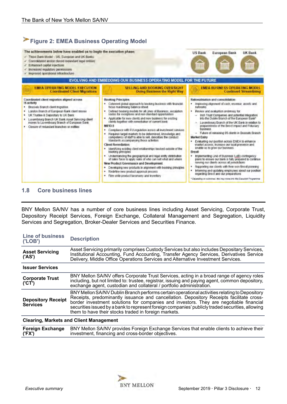<span id="page-11-0"></span>

## **1.8 Core business lines**

BNY Mellon SA/NV has a number of core business lines including Asset Servicing, Corporate Trust, Depository Receipt Services, Foreign Exchange, Collateral Management and Segregation, Liquidity Services and Segregation, Broker-Dealer Services and Securities Finance.

| <b>Line of business</b><br>( 'LOB')          | <b>Description</b>                                                                                                                                                                                                                                                                                                                                                                                                                              |  |  |  |  |
|----------------------------------------------|-------------------------------------------------------------------------------------------------------------------------------------------------------------------------------------------------------------------------------------------------------------------------------------------------------------------------------------------------------------------------------------------------------------------------------------------------|--|--|--|--|
| <b>Asset Servicing</b><br>('AS')             | Asset Servicing primarily comprises Custody Services but also includes Depositary Services,<br>Institutional Accounting, Fund Accounting, Transfer Agency Services, Derivatives Service<br>Delivery, Middle Office Operations Services and Alternative Investment Services.                                                                                                                                                                     |  |  |  |  |
| <b>Issuer Services</b>                       |                                                                                                                                                                                                                                                                                                                                                                                                                                                 |  |  |  |  |
| <b>Corporate Trust</b><br>(CT')              | BNY Mellon SA/NV offers Corporate Trust Services, acting in a broad range of agency roles<br>including, but not limited to: trustee, registrar, issuing and paying agent, common depository,<br>exchange agent, custodian and collateral / portfolio administration.                                                                                                                                                                            |  |  |  |  |
| <b>Depository Receipt</b><br><b>Services</b> | BNY Mellon SA/NV Dublin Branch performs certain operational activities relating to Depository<br>Receipts, predominantly issuance and cancellation. Depository Receipts facilitate cross-<br>border investment solutions for companies and investors. They are negotiable financial<br>securities issued by a bank to represent foreign companies' publicly traded securities, allowing<br>them to have their stocks traded in foreign markets. |  |  |  |  |
|                                              | <b>Clearing, Markets and Client Management</b>                                                                                                                                                                                                                                                                                                                                                                                                  |  |  |  |  |
| <b>Foreign Exchange</b><br>('FX')            | BNY Mellon SA/NV provides Foreign Exchange Services that enable clients to achieve their<br>investment, financing and cross-border objectives.                                                                                                                                                                                                                                                                                                  |  |  |  |  |

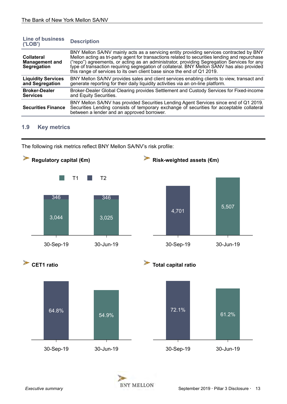<span id="page-12-0"></span>

| <b>Line of business</b><br>('LOB')                        | <b>Description</b>                                                                                                                                                                                                                                                                                                                                                                                                                                               |
|-----------------------------------------------------------|------------------------------------------------------------------------------------------------------------------------------------------------------------------------------------------------------------------------------------------------------------------------------------------------------------------------------------------------------------------------------------------------------------------------------------------------------------------|
| <b>Collateral</b><br><b>Management and</b><br>Segregation | BNY Mellon SA/NV mainly acts as a servicing entity providing services contracted by BNY<br>Mellon acting as tri-party agent for transactions related to securities lending and repurchase<br>("repo") agreements, or acting as an administrator, providing Segregation Services for any<br>type of transaction requiring segregation of collateral. BNY Mellon SANV has also provided<br>this range of services to its own client base since the end of Q1 2019. |
| <b>Liquidity Services</b><br>and Segregation              | BNY Mellon SA/NV provides sales and client services enabling clients to view, transact and<br>generate reporting for their daily liquidity activities via an on-line platform.                                                                                                                                                                                                                                                                                   |
| <b>Broker-Dealer</b><br><b>Services</b>                   | Broker-Dealer Global Clearing provides Settlement and Custody Services for Fixed-income<br>and Equity Securities.                                                                                                                                                                                                                                                                                                                                                |
| <b>Securities Finance</b>                                 | BNY Mellon SA/NV has provided Securities Lending Agent Services since end of Q1 2019.<br>Securities Lending consists of temporary exchange of securities for acceptable collateral<br>between a lender and an approved borrower.                                                                                                                                                                                                                                 |

# **1.9 Key metrics**

The following risk metrics reflect BNY Mellon SA/NV's risk profile:



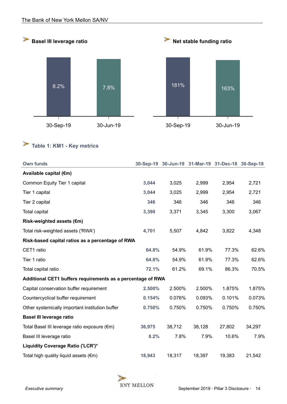<span id="page-13-0"></span>

# **Table 1: KM1 - Key metrics**

| <b>Own funds</b>                                            |        |        |        | 30-Sep-19 30-Jun-19 31-Mar-19 31-Dec-18 30-Sep-18 |        |
|-------------------------------------------------------------|--------|--------|--------|---------------------------------------------------|--------|
| Available capital (€m)                                      |        |        |        |                                                   |        |
| Common Equity Tier 1 capital                                | 3,044  | 3,025  | 2,999  | 2,954                                             | 2,721  |
| Tier 1 capital                                              | 3,044  | 3,025  | 2,999  | 2,954                                             | 2,721  |
| Tier 2 capital                                              | 346    | 346    | 346    | 346                                               | 346    |
| <b>Total capital</b>                                        | 3,390  | 3,371  | 3,345  | 3,300                                             | 3,067  |
| Risk-weighted assets (€m)                                   |        |        |        |                                                   |        |
| Total risk-weighted assets ('RWA')                          | 4,701  | 5,507  | 4,842  | 3,822                                             | 4,348  |
| Risk-based capital ratios as a percentage of RWA            |        |        |        |                                                   |        |
| CET1 ratio                                                  | 64.8%  | 54.9%  | 61.9%  | 77.3%                                             | 62.6%  |
| Tier 1 ratio                                                | 64.8%  | 54.9%  | 61.9%  | 77.3%                                             | 62.6%  |
| Total capital ratio                                         | 72.1%  | 61.2%  | 69.1%  | 86.3%                                             | 70.5%  |
| Additional CET1 buffers requirements as a percentage of RWA |        |        |        |                                                   |        |
| Capital conservation buffer requirement                     | 2.500% | 2.500% | 2.500% | 1.875%                                            | 1.875% |
| Countercyclical buffer requirement                          | 0.154% | 0.076% | 0.093% | 0.101%                                            | 0.073% |
| Other systemically important institution buffer             | 0.750% | 0.750% | 0.750% | 0.750%                                            | 0.750% |
| <b>Basel III leverage ratio</b>                             |        |        |        |                                                   |        |
| Total Basel III leverage ratio exposure (€m)                | 36,975 | 38,712 | 38,128 | 27,802                                            | 34,297 |
| Basel III leverage ratio                                    | 8.2%   | 7.8%   | 7.9%   | 10.6%                                             | 7.9%   |
| Liquidity Coverage Ratio ('LCR')*                           |        |        |        |                                                   |        |
| Total high quality liquid assets $(\epsilon m)$             | 18,943 | 18,317 | 18,397 | 19,383                                            | 21,542 |

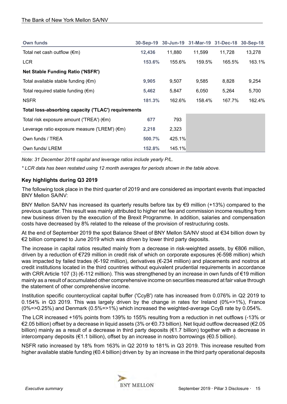| <b>Own funds</b>                                    |        |        |        | 30-Sep-19 30-Jun-19 31-Mar-19 31-Dec-18 30-Sep-18 |        |
|-----------------------------------------------------|--------|--------|--------|---------------------------------------------------|--------|
| Total net cash outflow $(\epsilon m)$               | 12,436 | 11,880 | 11,599 | 11.728                                            | 13,278 |
| <b>LCR</b>                                          | 153.6% | 155.6% | 159.5% | 165.5%                                            | 163.1% |
| <b>Net Stable Funding Ratio ('NSFR')</b>            |        |        |        |                                                   |        |
| Total available stable funding $(\epsilon m)$       | 9,905  | 9,507  | 9,585  | 8,828                                             | 9,254  |
| Total required stable funding $(\epsilon m)$        | 5,462  | 5,847  | 6,050  | 5,264                                             | 5,700  |
| <b>NSFR</b>                                         | 181.3% | 162.6% | 158.4% | 167.7%                                            | 162.4% |
| Total loss-absorbing capacity ('TLAC') requirements |        |        |        |                                                   |        |
| Total risk exposure amount ('TREA') (€m)            | 677    | 793    |        |                                                   |        |
| Leverage ratio exposure measure ('LREM') (€m)       | 2,218  | 2,323  |        |                                                   |        |
| Own funds / TREA                                    | 500.7% | 425.1% |        |                                                   |        |
| Own funds/ LREM                                     | 152.8% | 145.1% |        |                                                   |        |

*Note: 31 December 2018 capital and leverage ratios include yearly P/L.*

*\* LCR data has been restated using 12 month averages for periods shown in the table above.*

# **Key highlights during Q3 2019**

The following took place in the third quarter of 2019 and are considered as important events that impacted BNY Mellon SA/NV:

BNY Mellon SA/NV has increased its quarterly results before tax by  $\epsilon$ 9 million (+13%) compared to the previous quarter. This result was mainly attributed to higher net fee and commission income resulting from new business driven by the execution of the Brexit Programme. In addition, salaries and compensation costs have decreased by 8% related to the release of the provision of restructuring costs.

At the end of September 2019 the spot Balance Sheet of BNY Mellon SA/NV stood at €34 billion down by €2 billion compared to June 2019 which was driven by lower third party deposits.

The increase in capital ratios resulted mainly from a decrease in risk-weighted assets, by €806 million, driven by a reduction of €729 million in credit risk of which on corporate exposures (€-598 million) which was impacted by failed trades (€-192 million), derivatives (€-234 million) and placements and nostros at credit institutions located in the third countries without equivalent prudential requirements in accordance with CRR Article 107 (3) (€-112 million). This was strengthened by an increase in own funds of €19 million mainly as a result of accumulated other comprehensive income on securities measured at fair value through the statement of other comprehensive income.

Institution specific countercyclical capital buffer ('CcyB') rate has increased from 0.076% in Q2 2019 to 0.154% in Q3 2019. This was largely driven by the change in rates for Ireland (0%=>1%), France (0%=>0.25%) and Denmark (0.5%=>1%) which increased the weighted-average CcyB rate by 0.054%.

The LCR increased +16% points from 139% to 155% resulting from a reduction in net outflows (-13% or €2.05 billion) offset by a decrease in liquid assets (3% or €0.73 billion). Net liquid outflow decreased (€2.05 billion) mainly as a result of a decrease in third party deposits (€1.7 billion) together with a decrease in intercompany deposits (€1.1 billion), offset by an increase in nostro borrowings (€0.5 billion).

NSFR ratio increased by 18% from 163% in Q2 2019 to 181% in Q3 2019. This increase resulted from higher available stable funding (€0.4 billion) driven by by an increase in the third party operational deposits

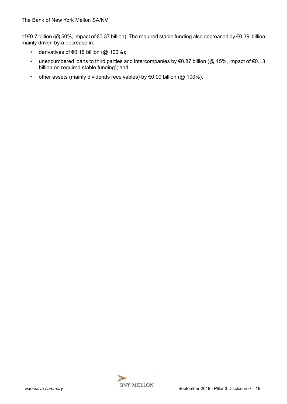of €0.7 billion (@ 50%, impact of €0.37 billion). The required stable funding also decreased by €0.39 billion mainly driven by a decrease in:

- derivatives of €0.16 billion ( $@$  100%);
- unencumbered loans to third parties and intercompanies by  $\epsilon$ 0.87 billion (@ 15%, impact of  $\epsilon$ 0.13 billion on required stable funding); and
- other assets (mainly dividends receivables) by  $\epsilon$ 0.09 billion ( $@$  100%).

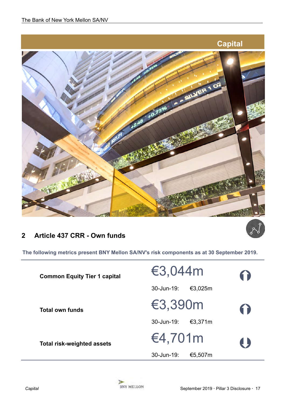<span id="page-16-0"></span>

# **2 Article 437 CRR - Own funds**

**The following metrics present BNY Mellon SA/NV's risk components as at 30 September 2019.** 

| <b>Common Equity Tier 1 capital</b> | €3,044m               | 6) |
|-------------------------------------|-----------------------|----|
|                                     | 30-Jun-19:<br>€3,025m |    |
| <b>Total own funds</b>              | €3,390m               | 6  |
|                                     | 30-Jun-19:<br>€3,371m |    |
| <b>Total risk-weighted assets</b>   | €4,701m               | 4  |
|                                     | 30-Jun-19:<br>€5,507m |    |

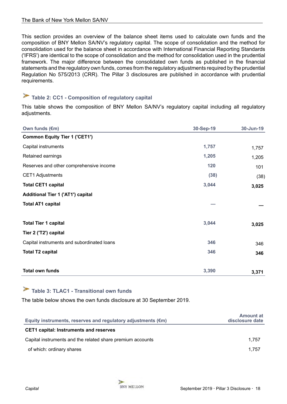<span id="page-17-0"></span>This section provides an overview of the balance sheet items used to calculate own funds and the composition of BNY Mellon SA/NV's regulatory capital. The scope of consolidation and the method for consolidation used for the balance sheet in accordance with International Financial Reporting Standards ('IFRS') are identical to the scope of consolidation and the method for consolidation used in the prudential framework. The major difference between the consolidated own funds as published in the financial statements and the regulatory own funds, comes from the regulatory adjustments required by the prudential Regulation No 575/2013 (CRR). The Pillar 3 disclosures are published in accordance with prudential requirements.

# **Table 2: CC1 - Composition of regulatory capital**

This table shows the composition of BNY Mellon SA/NV's regulatory capital including all regulatory adjustments.

| Own funds (€m)                             | 30-Sep-19 | 30-Jun-19 |
|--------------------------------------------|-----------|-----------|
| <b>Common Equity Tier 1 ('CET1')</b>       |           |           |
| Capital instruments                        | 1,757     | 1,757     |
| Retained earnings                          | 1,205     | 1,205     |
| Reserves and other comprehensive income    | 120       | 101       |
| <b>CET1 Adjustments</b>                    | (38)      | (38)      |
| <b>Total CET1 capital</b>                  | 3,044     | 3,025     |
| <b>Additional Tier 1 ('AT1') capital</b>   |           |           |
| <b>Total AT1 capital</b>                   |           |           |
|                                            |           |           |
| <b>Total Tier 1 capital</b>                | 3,044     | 3,025     |
| Tier 2 ('T2') capital                      |           |           |
| Capital instruments and subordinated loans | 346       | 346       |
| <b>Total T2 capital</b>                    | 346       | 346       |
| <b>Total own funds</b>                     | 3,390     |           |
|                                            |           | 3,371     |

# **Table 3: TLAC1 - Transitional own funds**

The table below shows the own funds disclosure at 30 September 2019.

| Equity instruments, reserves and regulatory adjustments $(\epsilon m)$ | <b>Amount at</b><br>disclosure date |
|------------------------------------------------------------------------|-------------------------------------|
| <b>CET1 capital: Instruments and reserves</b>                          |                                     |
| Capital instruments and the related share premium accounts             | 1.757                               |
| of which: ordinary shares                                              | 1.757                               |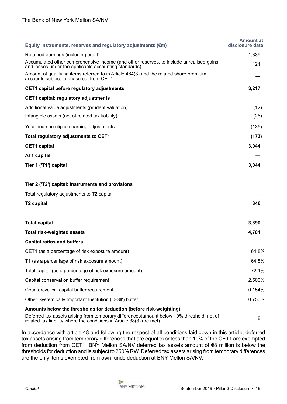| Equity instruments, reserves and regulatory adjustments (€m)                                                                                                      | <b>Amount at</b><br>disclosure date |
|-------------------------------------------------------------------------------------------------------------------------------------------------------------------|-------------------------------------|
| Retained earnings (including profit)                                                                                                                              | 1,339                               |
| Accumulated other comprehensive income (and other reserves, to include unrealised gains<br>and losses under the applicable accounting standards)                  | 121                                 |
| Amount of qualifying items referred to in Article 484(3) and the related share premium<br>accounts subject to phase out from CET1                                 |                                     |
| CET1 capital before regulatory adjustments                                                                                                                        | 3,217                               |
| <b>CET1 capital: regulatory adjustments</b>                                                                                                                       |                                     |
| Additional value adjustments (prudent valuation)                                                                                                                  | (12)                                |
| Intangible assets (net of related tax liability)                                                                                                                  | (26)                                |
| Year-end non eligible earning adjustments                                                                                                                         | (135)                               |
| Total regulatory adjustments to CET1                                                                                                                              | (173)                               |
| <b>CET1</b> capital                                                                                                                                               | 3,044                               |
| AT1 capital                                                                                                                                                       |                                     |
| Tier 1 ('T1') capital                                                                                                                                             | 3,044                               |
| Tier 2 ('T2') capital: Instruments and provisions                                                                                                                 |                                     |
| Total regulatory adjustments to T2 capital                                                                                                                        |                                     |
| <b>T2 capital</b>                                                                                                                                                 | 346                                 |
|                                                                                                                                                                   |                                     |
| <b>Total capital</b>                                                                                                                                              | 3,390                               |
| <b>Total risk-weighted assets</b>                                                                                                                                 | 4,701                               |
| <b>Capital ratios and buffers</b>                                                                                                                                 |                                     |
| CET1 (as a percentage of risk exposure amount)                                                                                                                    | 64.8%                               |
| T1 (as a percentage of risk exposure amount)                                                                                                                      | 64.8%                               |
| Total capital (as a percentage of risk exposure amount)                                                                                                           | 72.1%                               |
| Capital conservation buffer requirement                                                                                                                           | 2.500%                              |
| Countercyclical capital buffer requirement                                                                                                                        | 0.154%                              |
| Other Systemically Important Institution ('0-SII') buffer                                                                                                         | 0.750%                              |
| Amounts below the thresholds for deduction (before risk-weighting)                                                                                                |                                     |
| Deferred tax assets arising from temporary differences(amount below 10% threshold, net of<br>related tax liability where the conditions in Article 38(3) are met) | 8                                   |

In accordance with article 48 and following the respect of all conditions laid down in this article, deferred tax assets arising from temporary differences that are equal to or less than 10% of the CET1 are exempted from deduction from CET1. BNY Mellon SA/NV deferred tax assets amount of €8 million is below the thresholds for deduction and is subject to 250% RW. Deferred tax assets arising from temporary differences are the only items exempted from own funds deduction at BNY Mellon SA/NV.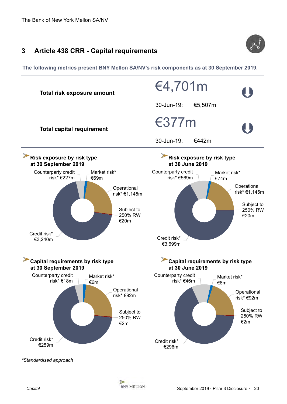

# <span id="page-19-0"></span>**3 Article 438 CRR - Capital requirements**

**The following metrics present BNY Mellon SA/NV's risk components as at 30 September 2019.** 



**SP**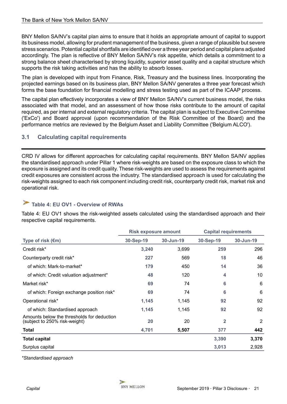<span id="page-20-0"></span>BNY Mellon SA/NV's capital plan aims to ensure that it holds an appropriate amount of capital to support its business model, allowing for prudent management of the business, given a range of plausible but severe stress scenarios. Potential capital shortfalls are identified over a three year period and capital plans adjusted accordingly. The plan is reflective of BNY Mellon SA/NV's risk appetite, which details a commitment to a strong balance sheet characterised by strong liquidity, superior asset quality and a capital structure which supports the risk taking activities and has the ability to absorb losses.

The plan is developed with input from Finance, Risk, Treasury and the business lines. Incorporating the projected earnings based on its business plan, BNY Mellon SA/NV generates a three year forecast which forms the base foundation for financial modelling and stress testing used as part of the ICAAP process.

The capital plan effectively incorporates a view of BNY Mellon SA/NV's current business model, the risks associated with that model, and an assessment of how those risks contribute to the amount of capital required, as per internal and external regulatory criteria. The capital plan is subject to Executive Committee ('ExCo') and Board approval (upon recommendation of the Risk Committee of the Board) and the performance metrics are reviewed by the Belgium Asset and Liability Committee ('Belgium ALCO').

# **3.1 Calculating capital requirements**

CRD IV allows for different approaches for calculating capital requirements. BNY Mellon SA/NV applies the standardised approach under Pillar 1 where risk-weights are based on the exposure class to which the exposure is assigned and its credit quality. These risk-weights are used to assess the requirements against credit exposures are consistent across the industry. The standardised approach is used for calculating the risk-weights assigned to each risk component including credit risk, counterparty credit risk, market risk and operational risk.

#### ➤ **Table 4: EU OV1 - Overview of RWAs**

Table 4: EU OV1 shows the risk-weighted assets calculated using the standardised approach and their respective capital requirements.

|                                                                             | <b>Risk exposure amount</b> |           | <b>Capital requirements</b> |           |
|-----------------------------------------------------------------------------|-----------------------------|-----------|-----------------------------|-----------|
| Type of risk $(\epsilon m)$                                                 | 30-Sep-19                   | 30-Jun-19 | 30-Sep-19                   | 30-Jun-19 |
| Credit risk*                                                                | 3,240                       | 3,699     | 259                         | 296       |
| Counterparty credit risk*                                                   | 227                         | 569       | 18                          | 46        |
| of which: Mark-to-market*                                                   | 179                         | 450       | 14                          | 36        |
| of which: Credit valuation adjustment*                                      | 48                          | 120       | 4                           | 10        |
| Market risk*                                                                | 69                          | 74        | 6                           | 6         |
| of which: Foreign exchange position risk*                                   | 69                          | 74        | 6                           | 6         |
| Operational risk*                                                           | 1,145                       | 1,145     | 92                          | 92        |
| of which: Standardised approach                                             | 1,145                       | 1,145     | 92                          | 92        |
| Amounts below the thresholds for deduction<br>(subject to 250% risk-weight) | 20                          | 20        | $\overline{2}$              | 2         |
| Total                                                                       | 4,701                       | 5,507     | 377                         | 442       |
| <b>Total capital</b>                                                        |                             |           | 3,390                       | 3,370     |
| Surplus capital                                                             |                             |           | 3,013                       | 2,928     |

*\*Standardised approach*

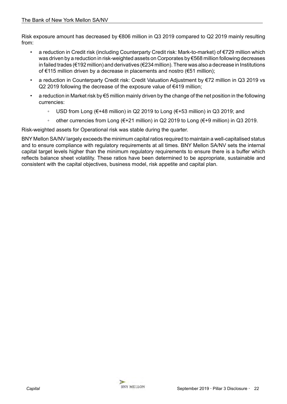Risk exposure amount has decreased by €806 million in Q3 2019 compared to Q2 2019 mainly resulting from:

- a reduction in Credit risk (including Counterparty Credit risk: Mark-to-market) of €729 million which was driven by a reduction in risk-weighted assets on Corporates by €568 million following decreases in failed trades (€192 million) and derivatives (€234 million). There was also a decrease in Institutions of €115 million driven by a decrease in placements and nostro (€51 million);
- a reduction in Counterparty Credit risk: Credit Valuation Adjustment by €72 million in Q3 2019 vs Q2 2019 following the decrease of the exposure value of €419 million;
- a reduction in Market risk by €5 million mainly driven by the change of the net position in the following currencies:
	- USD from Long (€+48 million) in Q2 2019 to Long (€+53 million) in Q3 2019; and
	- other currencies from Long (€+21 million) in Q2 2019 to Long (€+9 million) in Q3 2019.

Risk-weighted assets for Operational risk was stable during the quarter.

BNY Mellon SA/NV largely exceeds the minimum capital ratios required to maintain a well-capitalised status and to ensure compliance with regulatory requirements at all times. BNY Mellon SA/NV sets the internal capital target levels higher than the minimum regulatory requirements to ensure there is a buffer which reflects balance sheet volatility. These ratios have been determined to be appropriate, sustainable and consistent with the capital objectives, business model, risk appetite and capital plan.

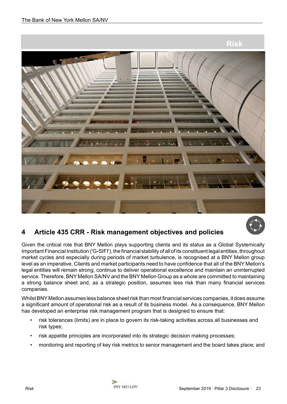<span id="page-22-0"></span>



# **4 Article 435 CRR - Risk management objectives and policies**

Given the critical role that BNY Mellon plays supporting clients and its status as a Global Systemically Important Financial Institution ('G-SIFI'), the financial stability of all of its constituent legal entities, throughout market cycles and especially during periods of market turbulence, is recognised at a BNY Mellon group level as an imperative. Clients and market participants need to have confidence that all of the BNY Mellon's legal entities will remain strong, continue to deliver operational excellence and maintain an uninterrupted service. Therefore, BNY Mellon SA/NV and the BNY Mellon Group as a whole are committed to maintaining a strong balance sheet and, as a strategic position, assumes less risk than many financial services companies.

Whilst BNY Mellon assumes less balance sheet risk than most financial services companies, it does assume a significant amount of operational risk as a result of its business model. As a consequence, BNY Mellon has developed an enterprise risk management program that is designed to ensure that:

- risk tolerances (limits) are in place to govern its risk-taking activities across all businesses and risk types;
- risk appetite principles are incorporated into its strategic decision making processes;
- monitoring and reporting of key risk metrics to senior management and the board takes place; and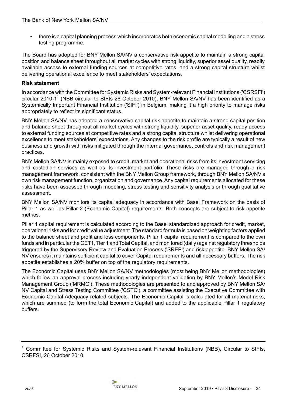• there is a capital planning process which incorporates both economic capital modelling and a stress testing programme.

The Board has adopted for BNY Mellon SA/NV a conservative risk appetite to maintain a strong capital position and balance sheet throughout all market cycles with strong liquidity, superior asset quality, readily available access to external funding sources at competitive rates, and a strong capital structure whilst delivering operational excellence to meet stakeholders' expectations.

## **Risk statement**

In accordance with the Committee for Systemic Risks and System-relevant Financial Institutions ('CSRSFI') circular 2010-1<sup>1</sup> (NBB circular to SIFIs 26 October 2010), BNY Mellon SA/NV has been identified as a Systemically Important Financial Institution ('SIFI') in Belgium, making it a high priority to manage risks appropriately to reflect its significant status.

BNY Mellon SA/NV has adopted a conservative capital risk appetite to maintain a strong capital position and balance sheet throughout all market cycles with strong liquidity, superior asset quality, ready access to external funding sources at competitive rates and a strong capital structure whilst delivering operational excellence to meet stakeholders' expectations. Any changes to the risk profile are typically a result of new business and growth with risks mitigated through the internal governance, controls and risk management practices.

BNY Mellon SA/NV is mainly exposed to credit, market and operational risks from its investment servicing and custodian services as well as its investment portfolio. These risks are managed through a risk management framework, consistent with the BNY Mellon Group framework, through BNY Mellon SA/NV's own risk management function, organization and governance. Any capital requirements allocated for these risks have been assessed through modeling, stress testing and sensitivity analysis or through qualitative assessment.

BNY Mellon SA/NV monitors its capital adequacy in accordance with Basel Framework on the basis of Pillar 1 as well as Pillar 2 (Economic Capital) requirements. Both concepts are subject to risk appetite metrics.

Pillar 1 capital requirement is calculated according to the Basel standardized approach for credit, market, operational risks and for credit value adjustment. The standard formula is based on weighting factors applied to the balance sheet and profit and loss components. Pillar 1 capital requirement is compared to the own funds and in particular the CET1, Tier 1 and Total Capital, and monitored (daily) against regulatory thresholds triggered by the Supervisory Review and Evaluation Process ('SREP') and risk appetite. BNY Mellon SA/ NV ensures it maintains sufficient capital to cover Capital requirements and all necessary buffers. The risk appetite establishes a 20% buffer on top of the regulatory requirements.

The Economic Capital uses BNY Mellon SA/NV methodologies (most being BNY Mellon methodologies) which follow an approval process including yearly independent validation by BNY Mellon's Model Risk Management Group ('MRMG'). These methodologies are presented to and approved by BNY Mellon SA/ NV Capital and Stress Testing Committee ('CSTC'), a committee assisting the Executive Committee with Economic Capital Adequacy related subjects. The Economic Capital is calculated for all material risks, which are summed (to form the total Economic Capital) and added to the applicable Pillar 1 regulatory buffers.

<sup>1</sup> Committee for Systemic Risks and System-relevant Financial Institutions (NBB), Circular to SIFIs, CSRFSI, 26 October 2010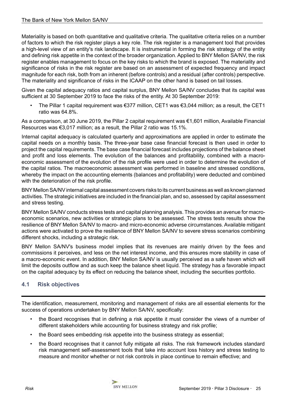<span id="page-24-0"></span>Materiality is based on both quantitative and qualitative criteria. The qualitative criteria relies on a number of factors to which the risk register plays a key role. The risk register is a management tool that provides a high-level view of an entity's risk landscape. It is instrumental in forming the risk strategy of the entity and defining risk appetite in the context of the broader organization. Applied to BNY Mellon SA/NV, the risk register enables management to focus on the key risks to which the brand is exposed. The materiality and significance of risks in the risk register are based on an assessment of expected frequency and impact magnitude for each risk, both from an inherent (before controls) and a residual (after controls) perspective. The materiality and significance of risks in the ICAAP on the other hand is based on tail losses.

Given the capital adequacy ratios and capital surplus, BNY Mellon SA/NV concludes that its capital was sufficient at 30 September 2019 to face the risks of the entity. At 30 September 2019:

The Pillar 1 capital requirement was  $\epsilon$ 377 million, CET1 was  $\epsilon$ 3,044 million; as a result, the CET1 ratio was 64.8%.

As a comparison, at 30 June 2019, the Pillar 2 capital requirement was €1,601 million, Available Financial Resources was €3,017 million; as a result, the Pillar 2 ratio was 15.1%.

Internal capital adequacy is calculated quarterly and approximations are applied in order to estimate the capital needs on a monthly basis. The three-year base case financial forecast is then used in order to project the capital requirements. The base case financial forecast includes projections of the balance sheet and profit and loss elements. The evolution of the balances and profitability, combined with a macroeconomic assessment of the evolution of the risk profile were used in order to determine the evolution of the capital ratios. The macroeconomic assessment was performed in baseline and stressed conditions, whereby the impact on the accounting elements (balances and profitability) were deducted and combined with the deterioration of the risk profile.

BNY Mellon SA/NV internal capital assessment covers risks to its current business as well as known planned activities. The strategic initiatives are included in the financial plan, and so, assessed by capital assessment and stress testing.

BNY Mellon SA/NV conducts stress tests and capital planning analysis. This provides an avenue for macroeconomic scenarios, new activities or strategic plans to be assessed. The stress tests results show the resilience of BNY Mellon SA/NV to macro- and micro-economic adverse circumstances. Available mitigant actions were activated to prove the resilience of BNY Mellon SA/NV to severe stress scenarios combining different shocks, including a strategic risk.

BNY Mellon SA/NV's business model implies that its revenues are mainly driven by the fees and commissions it perceives, and less on the net interest income, and this ensures more stability in case of a macro-economic event. In addition, BNY Mellon SA/NV is usually perceived as a safe haven which will limit the deposits outflow and as such keep the balance sheet liquid. The strategy has a favorable impact on the capital adequacy by its effect on reducing the balance sheet, including the securities portfolio.

# **4.1 Risk objectives**

The identification, measurement, monitoring and management of risks are all essential elements for the success of operations undertaken by BNY Mellon SA/NV, specifically:

- the Board recognises that in defining a risk appetite it must consider the views of a number of different stakeholders while accounting for business strategy and risk profile;
- the Board sees embedding risk appetite into the business strategy as essential;
- the Board recognises that it cannot fully mitigate all risks. The risk framework includes standard risk management self-assessment tools that take into account loss history and stress testing to measure and monitor whether or not risk controls in place continue to remain effective; and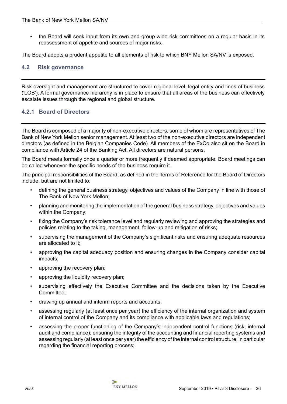<span id="page-25-0"></span>• the Board will seek input from its own and group-wide risk committees on a regular basis in its reassessment of appetite and sources of major risks.

The Board adopts a prudent appetite to all elements of risk to which BNY Mellon SA/NV is exposed.

# **4.2 Risk governance**

Risk oversight and management are structured to cover regional level, legal entity and lines of business ('LOB'). A formal governance hierarchy is in place to ensure that all areas of the business can effectively escalate issues through the regional and global structure.

# **4.2.1 Board of Directors**

The Board is composed of a majority of non-executive directors, some of whom are representatives of The Bank of New York Mellon senior management. At least two of the non-executive directors are independent directors (as defined in the Belgian Companies Code). All members of the ExCo also sit on the Board in compliance with Article 24 of the Banking Act. All directors are natural persons.

The Board meets formally once a quarter or more frequently if deemed appropriate. Board meetings can be called whenever the specific needs of the business require it.

The principal responsibilities of the Board, as defined in the Terms of Reference for the Board of Directors include, but are not limited to:

- defining the general business strategy, objectives and values of the Company in line with those of The Bank of New York Mellon;
- planning and monitoring the implementation of the general business strategy, objectives and values within the Company;
- fixing the Company's risk tolerance level and regularly reviewing and approving the strategies and policies relating to the taking, management, follow-up and mitigation of risks;
- supervising the management of the Company's significant risks and ensuring adequate resources are allocated to it;
- approving the capital adequacy position and ensuring changes in the Company consider capital impacts;
- approving the recovery plan;
- approving the liquidity recovery plan;
- supervising effectively the Executive Committee and the decisions taken by the Executive Committee;
- drawing up annual and interim reports and accounts;
- assessing regularly (at least once per year) the efficiency of the internal organization and system of internal control of the Company and its compliance with applicable laws and regulations;
- assessing the proper functioning of the Company's independent control functions (risk, internal audit and compliance); ensuring the integrity of the accounting and financial reporting systems and assessing regularly (at least once per year) the efficiency of the internal control structure, in particular regarding the financial reporting process;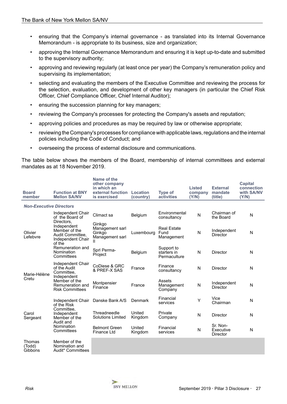- ensuring that the Company's internal governance as translated into its Internal Governance Memorandum - is appropriate to its business, size and organization;
- approving the Internal Governance Memorandum and ensuring it is kept up-to-date and submitted to the supervisory authority;
- approving and reviewing regularly (at least once per year) the Company's remuneration policy and supervising its implementation;
- selecting and evaluating the members of the Executive Committee and reviewing the process for the selection, evaluation, and development of other key managers (in particular the Chief Risk Officer, Chief Compliance Officer, Chief Internal Auditor);
- ensuring the succession planning for key managers;
- reviewing the Company's processes for protecting the Company's assets and reputation;
- approving policies and procedures as may be required by law or otherwise appropriate;
- reviewing the Company's processes for compliance with applicable laws, regulations and the internal policies including the Code of Conduct; and
- overseeing the process of external disclosure and communications.

The table below shows the members of the Board, membership of internal committees and external mandates as at 18 November 2019.

| <b>Board</b><br>member         | <b>Function at BNY</b><br><b>Mellon SA/NV</b>                                                 | Name of the<br>other company<br>in which an<br>external function<br>is exercised | Location<br>(country) | <b>Type of</b><br>activities              | <b>Listed</b><br>company<br>(Y/N) | <b>External</b><br>mandate<br>(title) | <b>Capital</b><br>connection<br>with SA/NV<br>(Y/N) |
|--------------------------------|-----------------------------------------------------------------------------------------------|----------------------------------------------------------------------------------|-----------------------|-------------------------------------------|-----------------------------------|---------------------------------------|-----------------------------------------------------|
| <b>Non-Executive Directors</b> |                                                                                               |                                                                                  |                       |                                           |                                   |                                       |                                                     |
|                                | Independent Chair<br>of the Board of                                                          | Climact sa                                                                       | Belgium               | Environmental<br>consultancy              | N                                 | Chairman of<br>the Board              | N                                                   |
| Olivier<br>Lefebvre            | Directors,<br>Independent<br>Member of the<br>Audit Committee,<br>Independent Chair<br>of the | Ginkgo<br>Management sarl<br>Ginkgo<br>Management sarl<br>Ш                      | Luxembourg            | <b>Real Estate</b><br>Fund<br>Management  | N                                 | Independent<br>Director               | N                                                   |
|                                | Remuneration and<br>Nomination<br>Committees                                                  | Sprl Perma-<br>Project                                                           | Belgium               | Support to<br>starters in<br>Permaculture | N                                 | Director                              | N                                                   |
| Marie-Hélène                   | Independent Chair<br>of the Audit<br>Committee.                                               | CoDiese & GRC<br>& PREF-X SAS                                                    | France                | Finance<br>consultancy                    | N                                 | Director                              | N                                                   |
| Cretu                          | Independent<br>Member of the<br>Remuneration and<br><b>Risk Committees</b>                    | Montpensier<br>Finance                                                           | France                | Assets<br>Management<br>Company           | N                                 | Independent<br>Director               | N                                                   |
|                                | Independent Chair<br>of the Risk                                                              | Danske Bank A/S                                                                  | <b>Denmark</b>        | Financial<br>services                     | Υ                                 | Vice<br>Chairman                      | N                                                   |
| Carol<br>Sergeant              | Committee,<br>Independent<br>Member of the                                                    | Threadneedle<br><b>Solutions Limited</b>                                         | United<br>Kingdom     | Private<br>Company                        | N                                 | Director                              | N                                                   |
|                                | Audit and<br>Nomination<br>Committees                                                         | <b>Belmont Green</b><br><b>Finance Ltd</b>                                       | United<br>Kingdom     | Financial<br>services                     | N                                 | Sr. Non-<br>Executive<br>Director     | N                                                   |
| Thomas<br>(Todd)<br>Gibbons    | Member of the<br>Nomination and<br>Audit* Committees                                          |                                                                                  |                       |                                           |                                   |                                       |                                                     |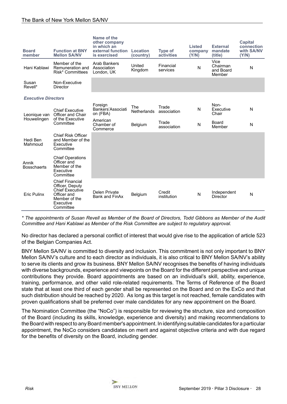| <b>Board</b><br>member      | <b>Function at BNY</b><br><b>Mellon SA/NV</b>                                                                                 | Name of the<br>other company<br>in which an<br>external function<br>is exercised | <b>Location</b><br>(country) | <b>Type of</b><br>activities | <b>Listed</b><br>company<br>(Y/N) | <b>External</b><br>mandate<br>(title)   | <b>Capital</b><br>connection<br>with SA/NV<br>(Y/N) |
|-----------------------------|-------------------------------------------------------------------------------------------------------------------------------|----------------------------------------------------------------------------------|------------------------------|------------------------------|-----------------------------------|-----------------------------------------|-----------------------------------------------------|
| Hani Kablawi                | Member of the<br>Remuneration and<br>Risk* Committees                                                                         | Arab Bankers<br>Association<br>London, UK                                        | United<br>Kingdom            | Financial<br>services        | N                                 | Vice<br>Chairman<br>and Board<br>Member | N                                                   |
| Susan<br>Revell*            | Non-Executive<br><b>Director</b>                                                                                              |                                                                                  |                              |                              |                                   |                                         |                                                     |
| <b>Executive Directors</b>  |                                                                                                                               |                                                                                  |                              |                              |                                   |                                         |                                                     |
| Leonique van                | <b>Chief Executive</b><br>Officer and Chair                                                                                   | Foreign<br>Bankers'Associati<br>on (FBA)                                         | The<br><b>Netherlands</b>    | Trade<br>association         | N                                 | Non-<br>Executive<br>Chair              | N                                                   |
| Houwelingen                 | of the Executive<br>Committee                                                                                                 | American<br>Chamber of<br>Commerce                                               | Belgium                      | Trade<br>association         | N                                 | Board<br>Member                         | N                                                   |
| Hedi Ben<br>Mahmoud         | <b>Chief Risk Officer</b><br>and Member of the<br>Executive<br>Committee                                                      |                                                                                  |                              |                              |                                   |                                         |                                                     |
| Annik<br><b>Bosschaerts</b> | <b>Chief Operations</b><br>Officer and<br>Member of the<br>Executive<br>Committee                                             |                                                                                  |                              |                              |                                   |                                         |                                                     |
| <b>Eric Pulinx</b>          | <b>Chief Financial</b><br>Officer, Deputy<br><b>Chief Executive</b><br>Officer and<br>Member of the<br>Executive<br>Committee | <b>Delen Private</b><br><b>Bank and FinAx</b>                                    | Belgium                      | Credit<br>institution        | N                                 | Independent<br>Director                 | N                                                   |

*\* The appointments of Susan Revell as Member of the Board of Directors, Todd Gibbons as Member of the Audit Committee and Hani Kablawi as Member of the Risk Committee are subject to regulatory approval.*

No director has declared a personal conflict of interest that would give rise to the application of article 523 of the Belgian Companies Act.

BNY Mellon SA/NV is committed to diversity and inclusion. This commitment is not only important to BNY Mellon SA/NV's culture and to each director as individuals, it is also critical to BNY Mellon SA/NV's ability to serve its clients and grow its business. BNY Mellon SA/NV recognises the benefits of having individuals with diverse backgrounds, experience and viewpoints on the Board for the different perspective and unique contributions they provide. Board appointments are based on an individual's skill, ability, experience, training, performance, and other valid role-related requirements. The Terms of Reference of the Board state that at least one third of each gender shall be represented on the Board and on the ExCo and that such distribution should be reached by 2020. As long as this target is not reached, female candidates with proven qualifications shall be preferred over male candidates for any new appointment on the Board.

The Nomination Committee (the "NoCo") is responsible for reviewing the structure, size and composition of the Board (including its skills, knowledge, experience and diversity) and making recommendations to the Board with respect to any Board member's appointment. In identifying suitable candidates for a particular appointment, the NoCo considers candidates on merit and against objective criteria and with due regard for the benefits of diversity on the Board, including gender.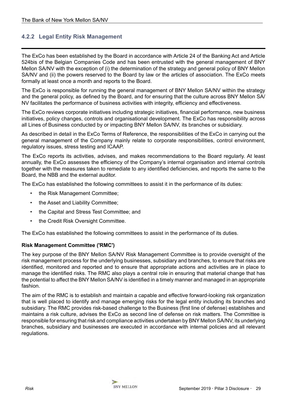# **4.2.2 Legal Entity Risk Management**

The ExCo has been established by the Board in accordance with Article 24 of the Banking Act and Article 524bis of the Belgian Companies Code and has been entrusted with the general management of BNY Mellon SA/NV with the exception of (i) the determination of the strategy and general policy of BNY Mellon SA/NV and (ii) the powers reserved to the Board by law or the articles of association. The ExCo meets formally at least once a month and reports to the Board.

The ExCo is responsible for running the general management of BNY Mellon SA/NV within the strategy and the general policy, as defined by the Board, and for ensuring that the culture across BNY Mellon SA/ NV facilitates the performance of business activities with integrity, efficiency and effectiveness.

The ExCo reviews corporate initiatives including strategic initiatives, financial performance, new business initiatives, policy changes, controls and organisational development. The ExCo has responsibility across all Lines of Business conducted by or impacting BNY Mellon SA/NV, its branches or subsidiary.

As described in detail in the ExCo Terms of Reference, the responsibilities of the ExCo in carrying out the general management of the Company mainly relate to corporate responsibilities, control environment, regulatory issues, stress testing and ICAAP.

The ExCo reports its activities, advises, and makes recommendations to the Board regularly. At least annually, the ExCo assesses the efficiency of the Company's internal organisation and internal controls together with the measures taken to remediate to any identified deficiencies, and reports the same to the Board, the NBB and the external auditor.

The ExCo has established the following committees to assist it in the performance of its duties:

- the Risk Management Committee;
- the Asset and Liability Committee;
- the Capital and Stress Test Committee; and
- the Credit Risk Oversight Committee.

The ExCo has established the following committees to assist in the performance of its duties.

## **Risk Management Committee ('RMC')**

The key purpose of the BNY Mellon SA/NV Risk Management Committee is to provide oversight of the risk management process for the underlying businesses, subsidiary and branches, to ensure that risks are identified, monitored and reported and to ensure that appropriate actions and activities are in place to manage the identified risks. The RMC also plays a central role in ensuring that material change that has the potential to affect the BNY Mellon SA/NV is identified in a timely manner and managed in an appropriate fashion.

The aim of the RMC is to establish and maintain a capable and effective forward-looking risk organization that is well placed to identify and manage emerging risks for the legal entity including its branches and subsidiary. The RMC provides risk-based challenge to the Business (first line of defense) establishes and maintains a risk culture, advises the ExCo as second line of defense on risk matters. The Committee is responsible for ensuring that risk and compliance activities undertaken by BNY Mellon SA/NV, its underlying branches, subsidiary and businesses are executed in accordance with internal policies and all relevant regulations.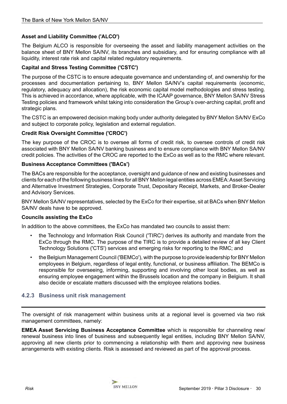# **Asset and Liability Committee ('ALCO')**

The Belgium ALCO is responsible for overseeing the asset and liability management activities on the balance sheet of BNY Mellon SA/NV, its branches and subsidiary, and for ensuring compliance with all liquidity, interest rate risk and capital related regulatory requirements.

# **Capital and Stress Testing Committee ('CSTC')**

The purpose of the CSTC is to ensure adequate governance and understanding of, and ownership for the processes and documentation pertaining to, BNY Mellon SA/NV's capital requirements (economic, regulatory, adequacy and allocation), the risk economic capital model methodologies and stress testing. This is achieved in accordance, where applicable, with the ICAAP governance, BNY Mellon SA/NV Stress Testing policies and framework whilst taking into consideration the Group's over-arching capital, profit and strategic plans.

The CSTC is an empowered decision making body under authority delegated by BNY Mellon SA/NV ExCo and subject to corporate policy, legislation and external regulation.

# **Credit Risk Oversight Committee ('CROC')**

The key purpose of the CROC is to oversee all forms of credit risk, to oversee controls of credit risk associated with BNY Mellon SA/NV banking business and to ensure compliance with BNY Mellon SA/NV credit policies. The activities of the CROC are reported to the ExCo as well as to the RMC where relevant.

# **Business Acceptance Committees ('BACs')**

The BACs are responsible for the acceptance, oversight and guidance of new and existing businesses and clients for each of the following business lines for all BNY Mellon legal entities across EMEA: Asset Servicing and Alternative Investment Strategies, Corporate Trust, Depositary Receipt, Markets, and Broker-Dealer and Advisory Services.

BNY Mellon SA/NV representatives, selected by the ExCo for their expertise, sit at BACs when BNY Mellon SA/NV deals have to be approved.

## **Councils assisting the ExCo**

In addition to the above committees, the ExCo has mandated two councils to assist them:

- the Technology and Information Risk Council ('TIRC') derives its authority and mandate from the ExCo through the RMC. The purpose of the TIRC is to provide a detailed review of all key Client Technology Solutions ('CTS') services and emerging risks for reporting to the RMC; and
- the Belgium Management Council ('BEMCo'), with the purpose to provide leadership for BNY Mellon employees in Belgium, regardless of legal entity, functional, or business affiliation. The BEMCo is responsible for overseeing, informing, supporting and involving other local bodies, as well as ensuring employee engagement within the Brussels location and the company in Belgium. It shall also decide or escalate matters discussed with the employee relations bodies.

# **4.2.3 Business unit risk management**

The oversight of risk management within business units at a regional level is governed via two risk management committees, namely:

**EMEA Asset Servicing Business Acceptance Committee** which is responsible for channeling new/ renewal business into lines of business and subsequently legal entities, including BNY Mellon SA/NV, approving all new clients prior to commencing a relationship with them and approving new business arrangements with existing clients. Risk is assessed and reviewed as part of the approval process.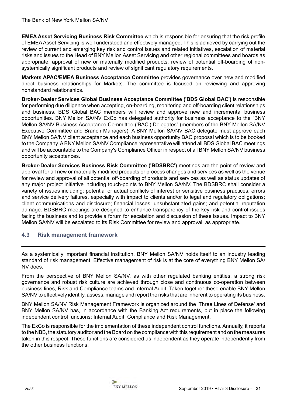<span id="page-30-0"></span>**EMEA Asset Servicing Business Risk Committee** which is responsible for ensuring that the risk profile of EMEA Asset Servicing is well understood and effectively managed. This is achieved by carrying out the review of current and emerging key risk and control issues and related initiatives, escalation of material risks and issues to the Head of BNY Mellon Asset Servicing and other regional committees and boards as appropriate, approval of new or materially modified products, review of potential off-boarding of nonsystemically significant products and review of significant regulatory requirements.

**Markets APAC/EMEA Business Acceptance Committee** provides governance over new and modified direct business relationships for Markets. The committee is focused on reviewing and approving nonstandard relationships.

**Broker-Dealer Services Global Business Acceptance Committee ('BDS Global BAC')** is responsible for performing due diligence when accepting, on-boarding, monitoring and off-boarding client relationships and business. BDS Global BAC members will review and approve new and incremental business opportunities. BNY Mellon SA/NV ExCo has delegated authority for business acceptance to the "BNY Mellon SA/NV Business Acceptance Committee ('BAC') Delegates" (members of the BNY Mellon SA/NV Executive Committee and Branch Managers). A BNY Mellon SA/NV BAC delegate must approve each BNY Mellon SA/NV client acceptance and each business opportunity BAC proposal which is to be booked to the Company. A BNY Mellon SA/NV Compliance representative will attend all BDS Global BAC meetings and will be accountable to the Company's Compliance Officer in respect of all BNY Mellon SA/NV business opportunity acceptances.

**Broker-Dealer Services Business Risk Committee ('BDSBRC')** meetings are the point of review and approval for all new or materially modified products or process changes and services as well as the venue for review and approval of all potential off-boarding of products and services as well as status updates of any major project initiative including touch-points to BNY Mellon SA/NV. The BDSBRC shall consider a variety of issues including: potential or actual conflicts of interest or sensitive business practices, errors and service delivery failures, especially with impact to clients and/or to legal and regulatory obligations; client communications and disclosure; financial losses; unsubstantiated gains; and potential reputation damage. BDSBRC meetings are designed to enhance transparency of the key risk and control issues facing the business and to provide a forum for escalation and discussion of these issues. Impact to BNY Mellon SA/NV will be escalated to its Risk Committee for review and approval, as appropriate.

# **4.3 Risk management framework**

As a systemically important financial institution, BNY Mellon SA/NV holds itself to an industry leading standard of risk management. Effective management of risk is at the core of everything BNY Mellon SA/ NV does.

From the perspective of BNY Mellon SA/NV, as with other regulated banking entities, a strong risk governance and robust risk culture are achieved through close and continuous co-operation between business lines, Risk and Compliance teams and Internal Audit. Taken together these enable BNY Mellon SA/NV to effectively identify, assess, manage and report the risks that are inherent to operating its business.

BNY Mellon SA/NV Risk Management Framework is organized around the 'Three Lines of Defense' and BNY Mellon SA/NV has, in accordance with the Banking Act requirements, put in place the following independent control functions: Internal Audit, Compliance and Risk Management.

The ExCo is responsible for the implementation of these independent control functions. Annually, it reports to the NBB, the statutory auditor and the Board on the compliance with this requirement and on the measures taken in this respect. These functions are considered as independent as they operate independently from the other business functions.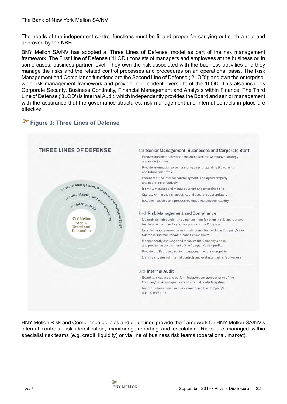The heads of the independent control functions must be fit and proper for carrying out such a role and approved by the NBB.

BNY Mellon SA/NV has adopted a 'Three Lines of Defense' model as part of the risk management framework. The First Line of Defense ('1LOD') consists of managers and employees at the business or, in some cases, business partner level. They own the risk associated with the business activities and they manage the risks and the related control processes and procedures on an operational basis. The Risk Management and Compliance functions are the Second Line of Defense ('2LOD'); and own the enterprisewide risk management framework and provide independent oversight of the 1LOD. This also includes Corporate Security, Business Continuity, Financial Management and Analysis within Finance. The Third Line of Defense ('3LOD') is Internal Audit, which independently provides the Board and senior management with the assurance that the governance structures, risk management and internal controls in place are effective.

# **Figure 3: Three Lines of Defense**



BNY Mellon Risk and Compliance policies and guidelines provide the framework for BNY Mellon SA/NV's internal controls, risk identification, monitoring, reporting and escalation. Risks are managed within specialist risk teams (e.g. credit, liquidity) or via line of business risk teams (operational, market).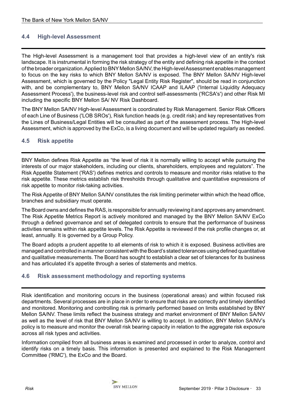# <span id="page-32-0"></span>**4.4 High-level Assessment**

The High-level Assessment is a management tool that provides a high-level view of an entity's risk landscape. It is instrumental in forming the risk strategy of the entity and defining risk appetite in the context of the broader organization. Applied to BNY Mellon SA/NV, the High-level Assessment enables management to focus on the key risks to which BNY Mellon SA/NV is exposed. The BNY Mellon SA/NV High-level Assessment, which is governed by the Policy "Legal Entity Risk Register", should be read in conjunction with, and be complementary to, BNY Mellon SA/NV ICAAP and ILAAP ('Internal Liquidity Adequacy Assessment Process'), the business-level risk and control self-assessments ('RCSA's') and other Risk MI including the specific BNY Mellon SA/ NV Risk Dashboard.

The BNY Mellon SA/NV High-level Assessment is coordinated by Risk Management. Senior Risk Officers of each Line of Business ('LOB SROs'), Risk function heads (e.g. credit risk) and key representatives from the Lines of Business/Legal Entities will be consulted as part of the assessment process. The High-level Assessment, which is approved by the ExCo, is a living document and will be updated regularly as needed.

# **4.5 Risk appetite**

BNY Mellon defines Risk Appetite as "the level of risk it is normally willing to accept while pursuing the interests of our major stakeholders, including our clients, shareholders, employees and regulators". The Risk Appetite Statement ('RAS') defines metrics and controls to measure and monitor risks relative to the risk appetite. These metrics establish risk thresholds through qualitative and quantitative expressions of risk appetite to monitor risk-taking activities.

The Risk Appetite of BNY Mellon SA/NV constitutes the risk limiting perimeter within which the head office, branches and subsidiary must operate.

The Board owns and defines the RAS, is responsible for annually reviewing it and approves any amendment. The Risk Appetite Metrics Report is actively monitored and managed by the BNY Mellon SA/NV ExCo through a defined governance and set of delegated controls to ensure that the performance of business activities remains within risk appetite levels. The Risk Appetite is reviewed if the risk profile changes or, at least, annually. It is governed by a Group Policy.

The Board adopts a prudent appetite to all elements of risk to which it is exposed. Business activities are managed and controlled in a manner consistent with the Board's stated tolerances using defined quantitative and qualitative measurements. The Board has sought to establish a clear set of tolerances for its business and has articulated it's appetite through a series of statements and metrics.

# **4.6 Risk assessment methodology and reporting systems**

Risk identification and monitoring occurs in the business (operational areas) and within focused risk departments. Several processes are in place in order to ensure that risks are correctly and timely identified and monitored. Monitoring and controlling risk is primarily performed based on limits established by BNY Mellon SA/NV. These limits reflect the business strategy and market environment of BNY Mellon SA/NV as well as the level of risk that BNY Mellon SA/NV is willing to accept. In addition, BNY Mellon SA/NV's policy is to measure and monitor the overall risk bearing capacity in relation to the aggregate risk exposure across all risk types and activities.

Information compiled from all business areas is examined and processed in order to analyze, control and identify risks on a timely basis. This information is presented and explained to the Risk Management Committee ('RMC'), the ExCo and the Board.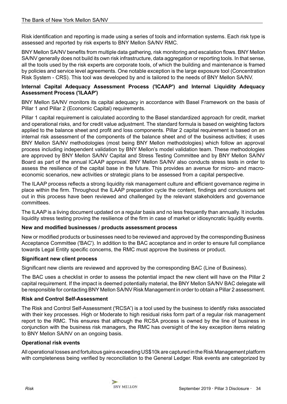Risk identification and reporting is made using a series of tools and information systems. Each risk type is assessed and reported by risk experts to BNY Mellon SA/NV RMC.

BNY Mellon SA/NV benefits from multiple data gathering, risk monitoring and escalation flows. BNY Mellon SA/NV generally does not build its own risk infrastructure, data aggregation or reporting tools. In that sense, all the tools used by the risk experts are corporate tools, of which the building and maintenance is framed by policies and service level agreements. One notable exception is the large exposure tool (Concentration Risk System - CRS). This tool was developed by and is tailored to the needs of BNY Mellon SA/NV.

# **Internal Capital Adequacy Assessment Process ('ICAAP') and Internal Liquidity Adequacy Assessment Process ('ILAAP')**

BNY Mellon SA/NV monitors its capital adequacy in accordance with Basel Framework on the basis of Pillar 1 and Pillar 2 (Economic Capital) requirements.

Pillar 1 capital requirement is calculated according to the Basel standardized approach for credit, market and operational risks, and for credit value adjustment. The standard formula is based on weighting factors applied to the balance sheet and profit and loss components. Pillar 2 capital requirement is based on an internal risk assessment of the components of the balance sheet and of the business activities; it uses BNY Mellon SA/NV methodologies (most being BNY Mellon methodologies) which follow an approval process including independent validation by BNY Mellon's model validation team. These methodologies are approved by BNY Mellon SA/NV Capital and Stress Testing Committee and by BNY Mellon SA/NV Board as part of the annual ICAAP approval. BNY Mellon SA/NV also conducts stress tests in order to assess the resilience of the capital base in the future. This provides an avenue for micro- and macroeconomic scenarios, new activities or strategic plans to be assessed from a capital perspective.

The ILAAP process reflects a strong liquidity risk management culture and efficient governance regime in place within the firm. Throughout the ILAAP preparation cycle the content, findings and conclusions set out in this process have been reviewed and challenged by the relevant stakeholders and governance committees.

The ILAAP is a living document updated on a regular basis and no less frequently than annually. It includes liquidity stress testing proving the resilience of the firm in case of market or idiosyncratic liquidity events.

# **New and modified businesses / products assessment process**

New or modified products or businesses need to be reviewed and approved by the corresponding Business Acceptance Committee ('BAC'). In addition to the BAC acceptance and in order to ensure full compliance towards Legal Entity specific concerns, the RMC must approve the business or product.

## **Significant new client process**

Significant new clients are reviewed and approved by the corresponding BAC (Line of Business).

The BAC uses a checklist in order to assess the potential impact the new client will have on the Pillar 2 capital requirement. If the impact is deemed potentially material, the BNY Mellon SA/NV BAC delegate will be responsible for contacting BNY Mellon SA/NV Risk Management in order to obtain a Pillar 2 assessment.

## **Risk and Control Self-Assessment**

The Risk and Control Self-Assessment ('RCSA') is a tool used by the business to identify risks associated with their key processes. High or Moderate to high residual risks form part of a regular risk management report to the RMC. This ensures that although the RCSA process is owned by the line of business in conjunction with the business risk managers, the RMC has oversight of the key exception items relating to BNY Mellon SA/NV on an ongoing basis.

## **Operational risk events**

All operational losses and fortuitous gains exceeding US\$10k are captured in the Risk Management platform with completeness being verified by reconciliation to the General Ledger. Risk events are categorized by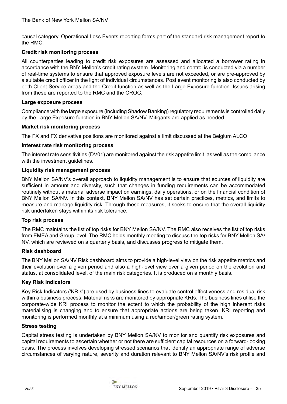causal category. Operational Loss Events reporting forms part of the standard risk management report to the RMC.

# **Credit risk monitoring process**

All counterparties leading to credit risk exposures are assessed and allocated a borrower rating in accordance with the BNY Mellon's credit rating system. Monitoring and control is conducted via a number of real-time systems to ensure that approved exposure levels are not exceeded, or are pre-approved by a suitable credit officer in the light of individual circumstances. Post event monitoring is also conducted by both Client Service areas and the Credit function as well as the Large Exposure function. Issues arising from these are reported to the RMC and the CROC.

## **Large exposure process**

Compliance with the large exposure (including Shadow Banking) regulatory requirements is controlled daily by the Large Exposure function in BNY Mellon SA/NV. Mitigants are applied as needed.

## **Market risk monitoring process**

The FX and FX derivative positions are monitored against a limit discussed at the Belgium ALCO.

#### **Interest rate risk monitoring process**

The interest rate sensitivities (DV01) are monitored against the risk appetite limit, as well as the compliance with the investment guidelines.

#### **Liquidity risk management process**

BNY Mellon SA/NV's overall approach to liquidity management is to ensure that sources of liquidity are sufficient in amount and diversity, such that changes in funding requirements can be accommodated routinely without a material adverse impact on earnings, daily operations, or on the financial condition of BNY Mellon SA/NV. In this context, BNY Mellon SA/NV has set certain practices, metrics, and limits to measure and manage liquidity risk. Through these measures, it seeks to ensure that the overall liquidity risk undertaken stays within its risk tolerance.

#### **Top risk process**

The RMC maintains the list of top risks for BNY Mellon SA/NV. The RMC also receives the list of top risks from EMEA and Group level. The RMC holds monthly meeting to discuss the top risks for BNY Mellon SA/ NV, which are reviewed on a quarterly basis, and discusses progress to mitigate them.

#### **Risk dashboard**

The BNY Mellon SA/NV Risk dashboard aims to provide a high-level view on the risk appetite metrics and their evolution over a given period and also a high-level view over a given period on the evolution and status, at consolidated level, of the main risk categories. It is produced on a monthly basis.

## **Key Risk Indicators**

Key Risk Indicators ('KRIs') are used by business lines to evaluate control effectiveness and residual risk within a business process. Material risks are monitored by appropriate KRIs. The business lines utilise the corporate-wide KRI process to monitor the extent to which the probability of the high inherent risks materialising is changing and to ensure that appropriate actions are being taken. KRI reporting and monitoring is performed monthly at a minimum using a red/amber/green rating system.

#### **Stress testing**

Capital stress testing is undertaken by BNY Mellon SA/NV to monitor and quantify risk exposures and capital requirements to ascertain whether or not there are sufficient capital resources on a forward-looking basis. The process involves developing stressed scenarios that identify an appropriate range of adverse circumstances of varying nature, severity and duration relevant to BNY Mellon SA/NV's risk profile and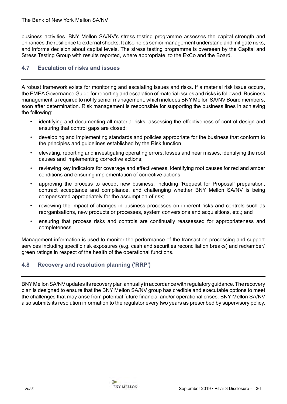<span id="page-35-0"></span>business activities. BNY Mellon SA/NV's stress testing programme assesses the capital strength and enhances the resilience to external shocks. It also helps senior management understand and mitigate risks, and informs decision about capital levels. The stress testing programme is overseen by the Capital and Stress Testing Group with results reported, where appropriate, to the ExCo and the Board.

# **4.7 Escalation of risks and issues**

A robust framework exists for monitoring and escalating issues and risks. If a material risk issue occurs, the EMEA Governance Guide for reporting and escalation of material issues and risks is followed. Business management is required to notify senior management, which includes BNY Mellon SA/NV Board members, soon after determination. Risk management is responsible for supporting the business lines in achieving the following:

- identifying and documenting all material risks, assessing the effectiveness of control design and ensuring that control gaps are closed;
- developing and implementing standards and policies appropriate for the business that conform to the principles and guidelines established by the Risk function;
- elevating, reporting and investigating operating errors, losses and near misses, identifying the root causes and implementing corrective actions;
- reviewing key indicators for coverage and effectiveness, identifying root causes for red and amber conditions and ensuring implementation of corrective actions;
- approving the process to accept new business, including 'Request for Proposal' preparation, contract acceptance and compliance, and challenging whether BNY Mellon SA/NV is being compensated appropriately for the assumption of risk;
- reviewing the impact of changes in business processes on inherent risks and controls such as reorganisations, new products or processes, system conversions and acquisitions, etc.; and
- ensuring that process risks and controls are continually reassessed for appropriateness and completeness.

Management information is used to monitor the performance of the transaction processing and support services including specific risk exposures (e.g. cash and securities reconciliation breaks) and red/amber/ green ratings in respect of the health of the operational functions.

# **4.8 Recovery and resolution planning ('RRP')**

BNY Mellon SA/NV updates its recovery plan annually in accordance with regulatory guidance. The recovery plan is designed to ensure that the BNY Mellon SA/NV group has credible and executable options to meet the challenges that may arise from potential future financial and/or operational crises. BNY Mellon SA/NV also submits its resolution information to the regulator every two years as prescribed by supervisory policy.

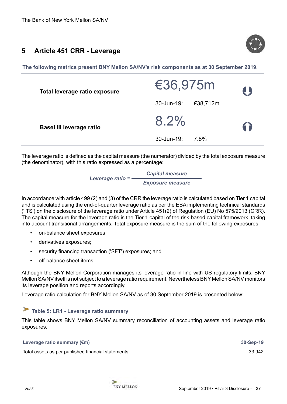# <span id="page-36-0"></span>**5 Article 451 CRR - Leverage**



**The following metrics present BNY Mellon SA/NV's risk components as at 30 September 2019.** 

| Total leverage ratio exposure   | €36,975m               | 4   |
|---------------------------------|------------------------|-----|
|                                 | €38,712m<br>30-Jun-19: |     |
| <b>Basel III leverage ratio</b> | $8.2\%$                | 6 D |
|                                 | 30-Jun-19:<br>7.8%     |     |

The leverage ratio is defined as the capital measure (the numerator) divided by the total exposure measure (the denominator), with this ratio expressed as a percentage:

> *Leverage ratio = Capital measure Exposure measure*

In accordance with article 499 (2) and (3) of the CRR the leverage ratio is calculated based on Tier 1 capital and is calculated using the end-of-quarter leverage ratio as per the EBA implementing technical standards ('ITS') on the disclosure of the leverage ratio under Article 451(2) of Regulation (EU) No 575/2013 (CRR). The capital measure for the leverage ratio is the Tier 1 capital of the risk-based capital framework, taking into account transitional arrangements. Total exposure measure is the sum of the following exposures:

- on-balance sheet exposures;
- derivatives exposures;
- security financing transaction ('SFT') exposures; and
- off-balance sheet items.

Although the BNY Mellon Corporation manages its leverage ratio in line with US regulatory limits, BNY Mellon SA/NV itself is not subject to a leverage ratio requirement. Nevertheless BNY Mellon SA/NV monitors its leverage position and reports accordingly.

Leverage ratio calculation for BNY Mellon SA/NV as of 30 September 2019 is presented below:

# **Table 5: LR1 - Leverage ratio summary**

This table shows BNY Mellon SA/NV summary reconciliation of accounting assets and leverage ratio exposures.

| Leverage ratio summary $(\epsilon m)$ | 30-Sep-19 |
|---------------------------------------|-----------|
|                                       |           |

Total assets as per published financial statements 33,942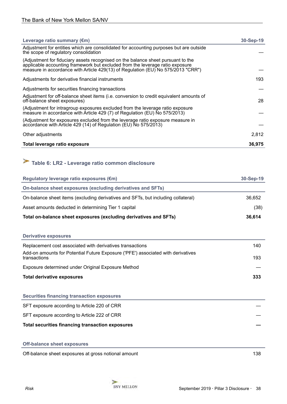<span id="page-37-0"></span>

| Leverage ratio summary $(\epsilon m)$                                                                                                                                                                                                                 | $30 - Sep-19$ |
|-------------------------------------------------------------------------------------------------------------------------------------------------------------------------------------------------------------------------------------------------------|---------------|
| Adjustment for entities which are consolidated for accounting purposes but are outside<br>the scope of regulatory consolidation                                                                                                                       |               |
| (Adjustment for fiduciary assets recognised on the balance sheet pursuant to the<br>applicable accounting framework but excluded from the leverage ratio exposure<br>measure in accordance with Article 429(13) of Regulation (EU) No 575/2013 "CRR") |               |
| Adjustments for derivative financial instruments                                                                                                                                                                                                      | 193           |
| Adjustments for securities financing transactions                                                                                                                                                                                                     |               |
| Adjustment for off-balance sheet items (i.e. conversion to credit equivalent amounts of<br>off-balance sheet exposures)                                                                                                                               | 28            |
| (Adjustment for intragroup exposures excluded from the leverage ratio exposure<br>measure in accordance with Article 429 (7) of Regulation (EU) No 575/2013)                                                                                          |               |
| (Adjustment for exposures excluded from the leverage ratio exposure measure in<br>accordance with Article 429 (14) of Regulation (EU) No 575/2013)                                                                                                    |               |
| Other adjustments                                                                                                                                                                                                                                     | 2,812         |
| Total leverage ratio exposure                                                                                                                                                                                                                         | 36,975        |

# **Table 6: LR2 - Leverage ratio common disclosure**

| Regulatory leverage ratio exposures (€m)                                                         | 30-Sep-19 |
|--------------------------------------------------------------------------------------------------|-----------|
| On-balance sheet exposures (excluding derivatives and SFTs)                                      |           |
| On-balance sheet items (excluding derivatives and SFTs, but including collateral)                | 36.652    |
| Asset amounts deducted in determining Tier 1 capital                                             | (38)      |
| Total on-balance sheet exposures (excluding derivatives and SFTs)                                | 36,614    |
|                                                                                                  |           |
| <b>Derivative exposures</b>                                                                      |           |
| Replacement cost associated with derivatives transactions                                        | 140       |
| Add-on amounts for Potential Future Exposure ('PFE') associated with derivatives<br>transactions | 193       |
| Exposure determined under Original Exposure Method                                               |           |

#### **Total derivative exposures 333**

**Securities financing transaction exposures**

SFT exposure according to Article 220 of CRR

SFT exposure according to Article 222 of CRR

**Total securities financing transaction exposures —**

Off-balance sheet exposures at gross notional amount 138

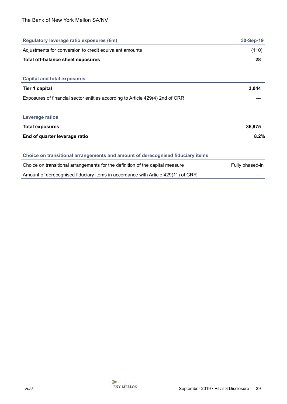| Regulatory leverage ratio exposures (€m)                                         | 30-Sep-19       |
|----------------------------------------------------------------------------------|-----------------|
| Adjustments for conversion to credit equivalent amounts                          | (110)           |
| <b>Total off-balance sheet exposures</b>                                         | 28              |
|                                                                                  |                 |
| <b>Capital and total exposures</b>                                               |                 |
| <b>Tier 1 capital</b>                                                            | 3,044           |
| Exposures of financial sector entities according to Article 429(4) 2nd of CRR    |                 |
|                                                                                  |                 |
| <b>Leverage ratios</b>                                                           |                 |
| <b>Total exposures</b>                                                           | 36,975          |
| End of quarter leverage ratio                                                    | 8.2%            |
|                                                                                  |                 |
| Choice on transitional arrangements and amount of derecognised fiduciary items   |                 |
| Choice on transitional arrangements for the definition of the capital measure    | Fully phased-in |
| Amount of derecognised fiduciary items in accordance with Article 429(11) of CRR |                 |

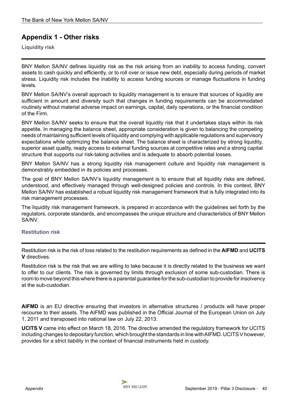# <span id="page-39-0"></span>**Appendix 1 - Other risks**

# **Liquidity risk**

BNY Mellon SA/NV defines liquidity risk as the risk arising from an inability to access funding, convert assets to cash quickly and efficiently, or to roll over or issue new debt, especially during periods of market stress. Liquidity risk includes the inability to access funding sources or manage fluctuations in funding levels.

BNY Mellon SA/NV's overall approach to liquidity management is to ensure that sources of liquidity are sufficient in amount and diversity such that changes in funding requirements can be accommodated routinely without material adverse impact on earnings, capital, daily operations, or the financial condition of the Firm.

BNY Mellon SA/NV seeks to ensure that the overall liquidity risk that it undertakes stays within its risk appetite. In managing the balance sheet, appropriate consideration is given to balancing the competing needs of maintaining sufficient levels of liquidity and complying with applicable regulations and supervisory expectations while optimizing the balance sheet. The balance sheet is characterized by strong liquidity, superior asset quality, ready access to external funding sources at competitive rates and a strong capital structure that supports our risk-taking activities and is adequate to absorb potential losses.

BNY Mellon SA/NV has a strong liquidity risk management culture and liquidity risk management is demonstrably embedded in its policies and processes.

The goal of BNY Mellon SA/NV's liquidity management is to ensure that all liquidity risks are defined, understood, and effectively managed through well-designed policies and controls. In this context, BNY Mellon SA/NV has established a robust liquidity risk management framework that is fully integrated into its risk management processes.

The liquidity risk management framework, is prepared in accordance with the guidelines set forth by the regulators, corporate standards, and encompasses the unique structure and characteristics of BNY Mellon SA/NV.

## **Restitution risk**

Restitution risk is the risk of loss related to the restitution requirements as defined in the **AIFMD** and **UCITS V** directives.

Restitution risk is the risk that we are willing to take because it is directly related to the business we want to offer to our clients. The risk is governed by limits through exclusion of some sub-custodian. There is room to move beyond this where there is a parental guarantee for the sub-custodian to provide for insolvency at the sub-custodian.

**AIFMD** is an EU directive ensuring that investors in alternative structures / products will have proper recourse to their assets. The AIFMD was published in the Official Journal of the European Union on July 1, 2011 and transposed into national law on July 22, 2013.

**UCITS V** came into effect on March 18, 2016. The directive amended the regulatory framework for UCITS including changes to depositary function, which brought the standards in line with AIFMD. UCITS V however, provides for a strict liability in the context of financial instruments held in custody.

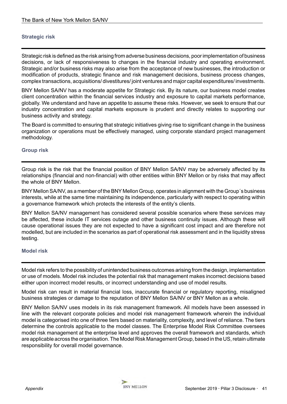# <span id="page-40-0"></span>**Strategic risk**

Strategic risk is defined as the risk arising from adverse business decisions, poor implementation of business decisions, or lack of responsiveness to changes in the financial industry and operating environment. Strategic and/or business risks may also arise from the acceptance of new businesses, the introduction or modification of products, strategic finance and risk management decisions, business process changes, complex transactions, acquisitions/ divestitures/ joint ventures and major capital expenditures/ investments.

BNY Mellon SA/NV has a moderate appetite for Strategic risk. By its nature, our business model creates client concentration within the financial services industry and exposure to capital markets performance, globally. We understand and have an appetite to assume these risks. However, we seek to ensure that our industry concentration and capital markets exposure is prudent and directly relates to supporting our business activity and strategy.

The Board is committed to ensuring that strategic initiatives giving rise to significant change in the business organization or operations must be effectively managed, using corporate standard project management methodology.

#### **Group risk**

Group risk is the risk that the financial position of BNY Mellon SA/NV may be adversely affected by its relationships (financial and non-financial) with other entities within BNY Mellon or by risks that may affect the whole of BNY Mellon.

BNY Mellon SA/NV, as a member of the BNY Mellon Group, operates in alignment with the Group´s business interests, while at the same time maintaining its independence, particularly with respect to operating within a governance framework which protects the interests of the entity's clients.

BNY Mellon SA/NV management has considered several possible scenarios where these services may be affected, these include IT services outage and other business continuity issues. Although these will cause operational issues they are not expected to have a significant cost impact and are therefore not modelled, but are included in the scenarios as part of operational risk assessment and in the liquidity stress testing.

#### **Model risk**

Model risk refers to the possibility of unintended business outcomes arising from the design, implementation or use of models. Model risk includes the potential risk that management makes incorrect decisions based either upon incorrect model results, or incorrect understanding and use of model results.

Model risk can result in material financial loss, inaccurate financial or regulatory reporting, misaligned business strategies or damage to the reputation of BNY Mellon SA/NV or BNY Mellon as a whole.

BNY Mellon SA/NV uses models in its risk management framework. All models have been assessed in line with the relevant corporate policies and model risk management framework wherein the individual model is categorised into one of three tiers based on materiality, complexity, and level of reliance. The tiers determine the controls applicable to the model classes. The Enterprise Model Risk Committee oversees model risk management at the enterprise level and approves the overall framework and standards, which are applicable across the organisation. The Model Risk Management Group, based in the US, retain ultimate responsibility for overall model governance.

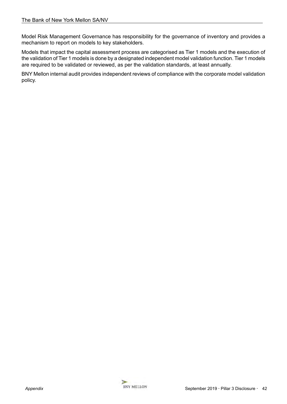Model Risk Management Governance has responsibility for the governance of inventory and provides a mechanism to report on models to key stakeholders.

Models that impact the capital assessment process are categorised as Tier 1 models and the execution of the validation of Tier 1 models is done by a designated independent model validation function. Tier 1 models are required to be validated or reviewed, as per the validation standards, at least annually.

BNY Mellon internal audit provides independent reviews of compliance with the corporate model validation policy.

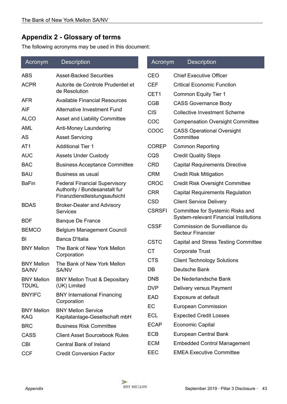# <span id="page-42-0"></span>**Appendix 2 - Glossary of terms**

The following acronyms may be used in this document:

| Acronym           | <b>Description</b>                                             | Acronym       | <b>Description</b>                                                                |
|-------------------|----------------------------------------------------------------|---------------|-----------------------------------------------------------------------------------|
| <b>ABS</b>        | <b>Asset-Backed Securities</b>                                 | <b>CEO</b>    | <b>Chief Executive Officer</b>                                                    |
| <b>ACPR</b>       | Autorite de Controle Prudentiel et                             | <b>CEF</b>    | <b>Critical Economic Function</b>                                                 |
|                   | de Resolution                                                  | CET1          | <b>Common Equity Tier 1</b>                                                       |
| <b>AFR</b>        | <b>Available Financial Resources</b>                           | <b>CGB</b>    | <b>CASS Governance Body</b>                                                       |
| AIF               | <b>Alternative Investment Fund</b>                             | <b>CIS</b>    | <b>Collective Investment Scheme</b>                                               |
| <b>ALCO</b>       | <b>Asset and Liability Committee</b>                           | COC           | <b>Compensation Oversight Committee</b>                                           |
| <b>AML</b>        | Anti-Money Laundering                                          | COOC          | <b>CASS Operational Oversight</b>                                                 |
| <b>AS</b>         | <b>Asset Servicing</b>                                         |               | Committee                                                                         |
| AT <sub>1</sub>   | <b>Additional Tier 1</b>                                       | <b>COREP</b>  | <b>Common Reporting</b>                                                           |
| <b>AUC</b>        | <b>Assets Under Custody</b>                                    | CQS           | <b>Credit Quality Steps</b>                                                       |
| <b>BAC</b>        | <b>Business Acceptance Committee</b>                           | <b>CRD</b>    | <b>Capital Requirements Directive</b>                                             |
| <b>BAU</b>        | Business as usual                                              | <b>CRM</b>    | <b>Credit Risk Mitigation</b>                                                     |
| <b>BaFin</b>      | <b>Federal Financial Supervisory</b>                           | <b>CROC</b>   | <b>Credit Risk Oversight Committee</b>                                            |
|                   | Authority / Bundesanstalt fur<br>Finanzdienstleistungsaufsicht | <b>CRR</b>    | <b>Capital Requirements Regulation</b>                                            |
| <b>BDAS</b>       | <b>Broker-Dealer and Advisory</b>                              | <b>CSD</b>    | <b>Client Service Delivery</b>                                                    |
|                   | <b>Services</b>                                                | <b>CSRSFI</b> | Committee for Systemic Risks and<br><b>System-relevant Financial Institutions</b> |
| <b>BDF</b>        | <b>Banque De France</b>                                        | <b>CSSF</b>   | Commission de Surveillance du                                                     |
| <b>BEMCO</b>      | <b>Belgium Management Council</b>                              |               | <b>Secteur Financier</b>                                                          |
| BI                | Banca D'Italia                                                 | <b>CSTC</b>   | Capital and Stress Testing Committee                                              |
| <b>BNY Mellon</b> | The Bank of New York Mellon<br>Corporation                     | <b>CT</b>     | <b>Corporate Trust</b>                                                            |
| <b>BNY Mellon</b> | The Bank of New York Mellon                                    | <b>CTS</b>    | <b>Client Technology Solutions</b>                                                |
| SA/NV             | SA/NV                                                          | DB            | Deutsche Bank                                                                     |
| <b>BNY Mellon</b> | <b>BNY Mellon Trust &amp; Depositary</b>                       | <b>DNB</b>    | De Nederlandsche Bank                                                             |
| <b>TDUKL</b>      | (UK) Limited                                                   | <b>DVP</b>    | Delivery versus Payment                                                           |
| <b>BNYIFC</b>     | <b>BNY International Financing</b><br>Corporation              | <b>EAD</b>    | Exposure at default                                                               |
| <b>BNY Mellon</b> | <b>BNY Mellon Service</b>                                      | EC            | European Commission                                                               |
| <b>KAG</b>        | Kapitalanlage-Gesellschaft mbH                                 | <b>ECL</b>    | <b>Expected Credit Losses</b>                                                     |
| <b>BRC</b>        | <b>Business Risk Committee</b>                                 | <b>ECAP</b>   | <b>Economic Capital</b>                                                           |
| <b>CASS</b>       | <b>Client Asset Sourcebook Rules</b>                           | <b>ECB</b>    | European Central Bank                                                             |
| <b>CBI</b>        | <b>Central Bank of Ireland</b>                                 | <b>ECM</b>    | <b>Embedded Control Management</b>                                                |
| <b>CCF</b>        | <b>Credit Conversion Factor</b>                                | <b>EEC</b>    | <b>EMEA Executive Committee</b>                                                   |

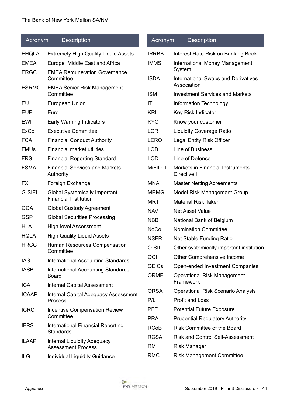| Acronym                    | <b>Description</b>                                                    | Acronym      | <b>Description</b>                                        |
|----------------------------|-----------------------------------------------------------------------|--------------|-----------------------------------------------------------|
| <b>EHQLA</b>               | <b>Extremely High Quality Liquid Assets</b>                           | <b>IRRBB</b> | Interest Rate Risk on Banking Book                        |
| <b>EMEA</b><br><b>ERGC</b> | Europe, Middle East and Africa<br><b>EMEA Remuneration Governance</b> | <b>IMMS</b>  | International Money Management<br>System                  |
|                            | Committee                                                             | <b>ISDA</b>  | <b>International Swaps and Derivatives</b><br>Association |
| <b>ESRMC</b>               | <b>EMEA Senior Risk Management</b><br>Committee                       | <b>ISM</b>   | <b>Investment Services and Markets</b>                    |
| EU                         | European Union                                                        | IT           | Information Technology                                    |
| <b>EUR</b>                 | Euro                                                                  | KRI          | Key Risk Indicator                                        |
| EWI                        | <b>Early Warning Indicators</b>                                       | <b>KYC</b>   | Know your customer                                        |
| <b>ExCo</b>                | <b>Executive Committee</b>                                            | <b>LCR</b>   | <b>Liquidity Coverage Ratio</b>                           |
| <b>FCA</b>                 | <b>Financial Conduct Authority</b>                                    | <b>LERO</b>  | <b>Legal Entity Risk Officer</b>                          |
| <b>FMUs</b>                | <b>Financial market utilities</b>                                     | <b>LOB</b>   | Line of Business                                          |
| <b>FRS</b>                 | <b>Financial Reporting Standard</b>                                   | <b>LOD</b>   | Line of Defense                                           |
| <b>FSMA</b>                | <b>Financial Services and Markets</b><br>Authority                    | MiFID II     | <b>Markets in Financial Instruments</b><br>Directive II   |
| <b>FX</b>                  | Foreign Exchange                                                      | <b>MNA</b>   | <b>Master Netting Agreements</b>                          |
| G-SIFI                     | <b>Global Systemically Important</b>                                  | <b>MRMG</b>  | Model Risk Management Group                               |
|                            | <b>Financial Institution</b>                                          | <b>MRT</b>   | <b>Material Risk Taker</b>                                |
| <b>GCA</b>                 | <b>Global Custody Agreement</b>                                       | <b>NAV</b>   | <b>Net Asset Value</b>                                    |
| <b>GSP</b>                 | <b>Global Securities Processing</b>                                   | <b>NBB</b>   | National Bank of Belgium                                  |
| <b>HLA</b>                 | <b>High-level Assessment</b>                                          | <b>NoCo</b>  | <b>Nomination Committee</b>                               |
| <b>HQLA</b>                | <b>High Quality Liquid Assets</b>                                     | <b>NSFR</b>  | Net Stable Funding Ratio                                  |
| <b>HRCC</b>                | Human Resources Compensation<br>Committee                             | O-SII        | Other systemically important institution                  |
| <b>IAS</b>                 | <b>International Accounting Standards</b>                             | OCI          | Other Comprehensive Income                                |
| <b>IASB</b>                | <b>International Accounting Standards</b>                             | <b>OEICs</b> | Open-ended Investment Companies                           |
|                            | <b>Board</b>                                                          | <b>ORMF</b>  | <b>Operational Risk Management</b><br>Framework           |
| <b>ICA</b>                 | <b>Internal Capital Assessment</b>                                    | <b>ORSA</b>  | <b>Operational Risk Scenario Analysis</b>                 |
| <b>ICAAP</b>               | <b>Internal Capital Adequacy Assessment</b><br><b>Process</b>         | P/L          | <b>Profit and Loss</b>                                    |
| <b>ICRC</b>                | <b>Incentive Compensation Review</b>                                  | <b>PFE</b>   | <b>Potential Future Exposure</b>                          |
|                            | Committee                                                             | <b>PRA</b>   | <b>Prudential Regulatory Authority</b>                    |
| <b>IFRS</b>                | <b>International Financial Reporting</b><br><b>Standards</b>          | <b>RCoB</b>  | <b>Risk Committee of the Board</b>                        |
| <b>ILAAP</b>               | <b>Internal Liquidity Adequacy</b>                                    | <b>RCSA</b>  | <b>Risk and Control Self-Assessment</b>                   |
|                            | <b>Assessment Process</b>                                             | <b>RM</b>    | <b>Risk Manager</b>                                       |
| ILG                        | <b>Individual Liquidity Guidance</b>                                  | <b>RMC</b>   | <b>Risk Management Committee</b>                          |

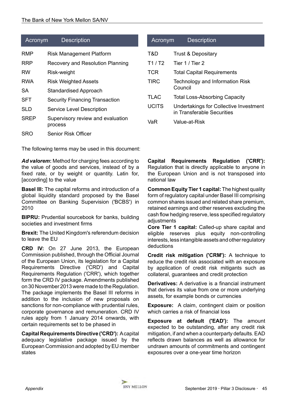| Acronym     | <b>Description</b>                           |     | Acr         |
|-------------|----------------------------------------------|-----|-------------|
| RMP         | <b>Risk Management Platform</b>              | T&D |             |
| RRP         | Recovery and Resolution Planning             |     | T1/T        |
| RW          | Risk-weight                                  |     | <b>TCR</b>  |
| RWA         | <b>Risk Weighted Assets</b>                  |     | <b>TIRC</b> |
| SA          | <b>Standardised Approach</b>                 |     |             |
| <b>SFT</b>  | <b>Security Financing Transaction</b>        |     | TLAC        |
| SLD         | Service Level Description                    |     | <b>UCIT</b> |
| <b>SREP</b> | Supervisory review and evaluation<br>process | VaR |             |
| SRO         | Senior Risk Officer                          |     |             |

The following terms may be used in this document:

Ad valorem: Method for charging fees according to the value of goods and services, instead of by a fixed rate, or by weight or quantity. Latin for, [according] to the value

**Basel III:** The capital reforms and introduction of a global liquidity standard proposed by the Basel Committee on Banking Supervision ('BCBS') in 2010

**BIPRU:** Prudential sourcebook for banks, building societies and investment firms

**Brexit:** The United Kingdom's referendum decision to leave the EU

**CRD IV:** On 27 June 2013, the European Commission published, through the Official Journal of the European Union, its legislation for a Capital Requirements Directive ('CRD') and Capital Requirements Regulation ('CRR'), which together form the CRD IV package. Amendments published on 30 November 2013 were made to the Regulation. The package implements the Basel III reforms in addition to the inclusion of new proposals on sanctions for non-compliance with prudential rules, corporate governance and remuneration. CRD IV rules apply from 1 January 2014 onwards, with certain requirements set to be phased in

**Capital Requirements Directive ('CRD'):** A capital adequacy legislative package issued by the European Commission and adopted by EU member states

# onym Description Trust & Depositary  $T2$  Tier 1 / Tier 2 **Total Capital Requirements** Technology and Information Risk Council

C Total Loss-Absorbing Capacity

S Undertakings for Collective Investment in Transferable Securities

 $Valu$ e-at-Risk

**Capital Requirements Regulation ('CRR'):** Regulation that is directly applicable to anyone in the European Union and is not transposed into national law

**Common Equity Tier 1 capital:** The highest quality form of regulatory capital under Basel III comprising common shares issued and related share premium, retained earnings and other reserves excluding the cash flow hedging reserve, less specified regulatory adjustments

**Core Tier 1 capital:** Called-up share capital and eligible reserves plus equity non-controlling interests, less intangible assets and other regulatory deductions

**Credit risk mitigation ('CRM'):** A technique to reduce the credit risk associated with an exposure by application of credit risk mitigants such as collateral, guarantees and credit protection

**Derivatives:** A derivative is a financial instrument that derives its value from one or more underlying assets, for example bonds or currencies

**Exposure:** A claim, contingent claim or position which carries a risk of financial loss

**Exposure at default ('EAD'):** The amount expected to be outstanding, after any credit risk mitigation, if and when a counterparty defaults. EAD reflects drawn balances as well as allowance for undrawn amounts of commitments and contingent exposures over a one-year time horizon

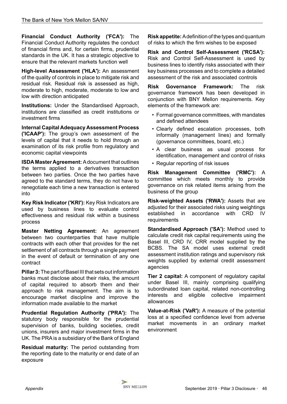**Financial Conduct Authority ('FCA'):** The Financial Conduct Authority regulates the conduct of financial firms and, for certain firms, prudential standards in the UK. It has a strategic objective to ensure that the relevant markets function well

**High-level Assessment ('HLA'):** An assessment of the quality of controls in place to mitigate risk and residual risk. Residual risk is assessed as high, moderate to high, moderate, moderate to low and low with direction anticipated

**Institutions:** Under the Standardised Approach, institutions are classified as credit institutions or investment firms

**Internal Capital Adequacy Assessment Process ('ICAAP'):** The group's own assessment of the levels of capital that it needs to hold through an examination of its risk profile from regulatory and economic capital viewpoints

**ISDA Master Agreement:** A document that outlines the terms applied to a derivatives transaction between two parties. Once the two parties have agreed to the standard terms, they do not have to renegotiate each time a new transaction is entered into

**Key Risk Indicator ('KRI'):** Key Risk Indicators are used by business lines to evaluate control effectiveness and residual risk within a business process

**Master Netting Agreement:** An agreement between two counterparties that have multiple contracts with each other that provides for the net settlement of all contracts through a single payment in the event of default or termination of any one contract

**Pillar 3:** The part of Basel III that sets out information banks must disclose about their risks, the amount of capital required to absorb them and their approach to risk management. The aim is to encourage market discipline and improve the information made available to the market

**Prudential Regulation Authority ('PRA'):** The statutory body responsible for the prudential supervision of banks, building societies, credit unions, insurers and major investment firms in the UK. The PRA is a subsidiary of the Bank of England

**Residual maturity:** The period outstanding from the reporting date to the maturity or end date of an exposure

**Risk appetite:** A definition of the types and quantum of risks to which the firm wishes to be exposed

**Risk and Control Self-Assessment ('RCSA'):** Risk and Control Self-Assessment is used by business lines to identify risks associated with their key business processes and to complete a detailed assessment of the risk and associated controls

**Risk Governance Framework:** The risk governance framework has been developed in conjunction with BNY Mellon requirements. Key elements of the framework are:

- Formal governance committees, with mandates and defined attendees
- Clearly defined escalation processes, both informally (management lines) and formally (governance committees, board, etc.)
- A clear business as usual process for identification, management and control of risks
- Regular reporting of risk issues

**Risk Management Committee ('RMC'):** A committee which meets monthly to provide governance on risk related items arising from the business of the group

**Risk-weighted Assets ('RWA'):** Assets that are adjusted for their associated risks using weightings established in accordance with CRD IV requirements

**Standardised Approach ('SA'):** Method used to calculate credit risk capital requirements using the Basel III, CRD IV, CRR model supplied by the BCBS. The SA model uses external credit assessment institution ratings and supervisory risk weights supplied by external credit assessment agencies

**Tier 2 capital:** A component of regulatory capital under Basel III, mainly comprising qualifying subordinated loan capital, related non-controlling interests and eligible collective impairment allowances

**Value-at-Risk ('VaR'):** A measure of the potential loss at a specified confidence level from adverse market movements in an ordinary market environment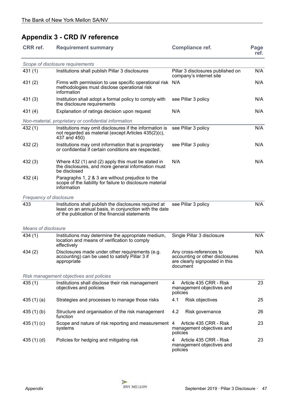# <span id="page-46-0"></span>**Appendix 3 - CRD IV reference**

| <b>CRR</b> ref.            | <b>Requirement summary</b>                                                                                                                                         | <b>Compliance ref.</b>                                                                                   | Page<br>ref. |
|----------------------------|--------------------------------------------------------------------------------------------------------------------------------------------------------------------|----------------------------------------------------------------------------------------------------------|--------------|
|                            | Scope of disclosure requirements                                                                                                                                   |                                                                                                          |              |
| 431(1)                     | Institutions shall publish Pillar 3 disclosures                                                                                                                    | Pillar 3 disclosures published on<br>company's internet site                                             | N/A          |
| 431 (2)                    | Firms with permission to use specific operational risk N/A<br>methodologies must disclose operational risk<br>information                                          |                                                                                                          | N/A          |
| 431(3)                     | Institution shall adopt a formal policy to comply with<br>the disclosure requirements                                                                              | see Pillar 3 policy                                                                                      | N/A          |
| 431 (4)                    | Explanation of ratings decision upon request                                                                                                                       | N/A                                                                                                      | N/A          |
|                            | Non-material, proprietary or confidential information                                                                                                              |                                                                                                          |              |
| 432 (1)                    | Institutions may omit disclosures if the information is<br>not regarded as material (except Articles 435(2)(c),<br>437 and 450)                                    | see Pillar 3 policy                                                                                      | N/A          |
| 432(2)                     | Institutions may omit information that is proprietary<br>or confidential if certain conditions are respected.                                                      | see Pillar 3 policy                                                                                      | N/A          |
| 432(3)                     | Where 432 (1) and (2) apply this must be stated in<br>the disclosures, and more general information must<br>be disclosed                                           | N/A                                                                                                      | N/A          |
| 432 (4)                    | Paragraphs 1, 2 & 3 are without prejudice to the<br>scope of the liability for failure to disclosure material<br>information                                       |                                                                                                          |              |
| Frequency of disclosure    |                                                                                                                                                                    |                                                                                                          |              |
| 433                        | Institutions shall publish the disclosures required at<br>least on an annual basis, in conjunction with the date<br>of the publication of the financial statements | see Pillar 3 policy                                                                                      | N/A          |
| <b>Means of disclosure</b> |                                                                                                                                                                    |                                                                                                          |              |
| 434 (1)                    | Institutions may determine the appropriate medium,<br>location and means of verification to comply<br>effectively                                                  | Single Pillar 3 disclosure                                                                               | N/A          |
| 434(2)                     | Disclosures made under other requirements (e.g.<br>accounting) can be used to satisfy Pillar 3 if<br>appropriate                                                   | Any cross-references to<br>accounting or other disclosures<br>are clearly signposted in this<br>document | N/A          |
|                            | Risk management objectives and policies                                                                                                                            |                                                                                                          |              |
| 435(1)                     | Institutions shall disclose their risk management<br>objectives and policies                                                                                       | Article 435 CRR - Risk<br>4<br>management objectives and<br>policies                                     | 23           |
| 435 $(1)(a)$               | Strategies and processes to manage those risks                                                                                                                     | 4.1<br><b>Risk objectives</b>                                                                            | 25           |
| 435 (1) (b)                | Structure and organisation of the risk management<br>function                                                                                                      | 4.2<br>Risk governance                                                                                   | 26           |
| 435 (1) (c)                | Scope and nature of risk reporting and measurement 4<br>systems                                                                                                    | Article 435 CRR - Risk<br>management objectives and<br>policies                                          | 23           |
| 435(1)(d)                  | Policies for hedging and mitigating risk                                                                                                                           | Article 435 CRR - Risk<br>4<br>management objectives and<br>policies                                     | 23           |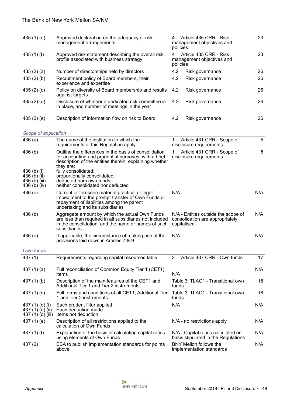| 435 $(1)$ $(e)$                                              | Approved declaration on the adequacy of risk<br>management arrangements                                                                                                               | Article 435 CRR - Risk<br>4<br>management objectives and<br>policies                  | 23  |
|--------------------------------------------------------------|---------------------------------------------------------------------------------------------------------------------------------------------------------------------------------------|---------------------------------------------------------------------------------------|-----|
| 435 $(1)$ $(f)$                                              | Approved risk statement describing the overall risk<br>profile associated with business strategy                                                                                      | Article 435 CRR - Risk<br>4<br>management objectives and<br>policies                  | 23  |
| 435 $(2)$ $(a)$                                              | Number of directorships held by directors                                                                                                                                             | 4.2<br>Risk governance                                                                | 26  |
| 435(2)(b)                                                    | Recruitment policy of Board members, their<br>experience and expertise                                                                                                                | 4.2<br>Risk governance                                                                | 26  |
| 435 $(2)$ $(c)$                                              | Policy on diversity of Board membership and results<br>against targets                                                                                                                | 4.2<br>Risk governance                                                                | 26  |
| 435(2)(d)                                                    | Disclosure of whether a dedicated risk committee is<br>in place, and number of meetings in the year                                                                                   | 4.2<br>Risk governance                                                                | 26  |
| 435 $(2)$ $(e)$                                              | Description of information flow on risk to Board                                                                                                                                      | 4.2<br>Risk governance                                                                | 26  |
| Scope of application                                         |                                                                                                                                                                                       |                                                                                       |     |
| 436(a)                                                       | The name of the institution to which the<br>requirements of this Regulation apply                                                                                                     | Article 431 CRR - Scope of<br>1.<br>disclosure requirements                           | 5   |
| 436(b)                                                       | Outline the differences in the basis of consolidation<br>for accounting and prudential purposes, with a brief<br>description of the entities therein, explaining whether<br>they are: | Article 431 CRR - Scope of<br>1<br>disclosure requirements                            | 5   |
| 436 (b) (i)<br>436 (b) (ii)<br>436 (b) (iii)<br>436 (b) (iv) | fully consolidated;<br>proportionally consolidated;<br>deducted from own funds;<br>neither consolidated nor deducted                                                                  |                                                                                       |     |
| 436(c)                                                       | Current or foreseen material practical or legal<br>impediment to the prompt transfer of Own Funds or<br>repayment of liabilities among the parent<br>undertaking and its subsidiaries | N/A                                                                                   | N/A |
| $436$ (d)                                                    | Aggregate amount by which the actual Own Funds<br>are less than required in all subsidiaries not included<br>in the consolidation, and the name or names of such<br>subsidiaries      | N/A - Entities outside the scope of<br>consolidation are appropriately<br>capitalised | N/A |
| 436(e)                                                       | If applicable, the circumstance of making use of the<br>provisions laid down in Articles 7 & 9                                                                                        | N/A                                                                                   | N/A |
| Own funds                                                    |                                                                                                                                                                                       |                                                                                       |     |
| 437(1)                                                       | Requirements regarding capital resources table                                                                                                                                        | Article 437 CRR - Own funds<br>2                                                      | 17  |
| 437 $(1)(a)$                                                 | Full reconciliation of Common Equity Tier 1 (CET1)<br>items                                                                                                                           | N/A                                                                                   | N/A |
| 437 (1) (b)                                                  | Description of the main features of the CET1 and<br>Additional Tier 1 and Tier 2 instruments                                                                                          | Table 3: TLAC1 - Transitional own<br>funds                                            | 18  |
| 437 (1) (c)                                                  | Full terms and conditions of all CET1, Additional Tier<br>1 and Tier 2 instruments                                                                                                    | Table 3: TLAC1 - Transitional own<br>funds                                            | 18  |
| 437 (1) (d) (i)<br>437 (1) (d) (ii)<br>437 (1) (d) (iii)     | Each prudent filter applied<br>Each deduction made<br>Items not deduction                                                                                                             | N/A                                                                                   | N/A |
| 437 (1) (e)                                                  | Description of all restrictions applied to the<br>calculation of Own Funds                                                                                                            | N/A - no restrictions apply                                                           | N/A |
| 437 $(1)$ $(f)$                                              | Explanation of the basis of calculating capital ratios<br>using elements of Own Funds                                                                                                 | N/A - Capital ratios calculated on<br>basis stipulated in the Regulations             | N/A |
| 437(2)                                                       | EBA to publish implementation standards for points<br>above                                                                                                                           | <b>BNY Mellon follows the</b><br>implementation standards                             | N/A |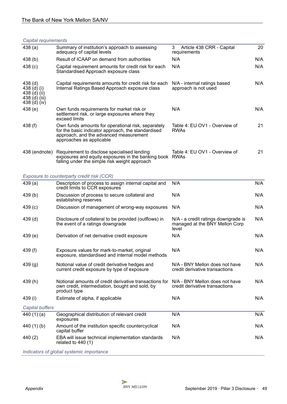#### *Capital requirements*

| 438(a)                                                                             | Summary of institution's approach to assessing<br>adequacy of capital levels                                                                                                   | Article 438 CRR - Capital<br>3<br>requirements                                 | 20  |
|------------------------------------------------------------------------------------|--------------------------------------------------------------------------------------------------------------------------------------------------------------------------------|--------------------------------------------------------------------------------|-----|
| 438 (b)                                                                            | Result of ICAAP on demand from authorities                                                                                                                                     | N/A                                                                            | N/A |
| 438 (c)                                                                            | Capital requirement amounts for credit risk for each<br>Standardised Approach exposure class                                                                                   | N/A                                                                            | N/A |
| 438 <sub>(d)</sub><br>438 (d) (i)<br>438 (d) (ii)<br>438 (d) (iii)<br>438 (d) (iv) | Capital requirements amounts for credit risk for each<br>Internal Ratings Based Approach exposure class                                                                        | N/A - internal ratings based<br>approach is not used                           | N/A |
| 438 (e)                                                                            | Own funds requirements for market risk or<br>settlement risk, or large exposures where they<br>exceed limits                                                                   | N/A                                                                            | N/A |
| 438 (f)                                                                            | Own funds amounts for operational risk, separately<br>for the basic indicator approach, the standardised<br>approach, and the advanced measurement<br>approaches as applicable | Table 4: EU OV1 - Overview of<br><b>RWAs</b>                                   | 21  |
| 438 (endnote)                                                                      | Requirement to disclose specialised lending<br>exposures and equity exposures in the banking book RWAs<br>falling under the simple risk weight approach                        | Table 4: EU OV1 - Overview of                                                  | 21  |
|                                                                                    | Exposure to counterparty credit risk (CCR)                                                                                                                                     |                                                                                |     |
| 439(a)                                                                             | Description of process to assign internal capital and<br>credit limits to CCR exposures                                                                                        | N/A                                                                            | N/A |
| 439 (b)                                                                            | Discussion of process to secure collateral and<br>establishing reserves                                                                                                        | N/A                                                                            | N/A |
| 439(c)                                                                             | Discussion of management of wrong-way exposures                                                                                                                                | N/A                                                                            | N/A |
| 439 <sub>(d)</sub>                                                                 | Disclosure of collateral to be provided (outflows) in<br>the event of a ratings downgrade                                                                                      | N/A - a credit ratings downgrade is<br>managed at the BNY Mellon Corp<br>level | N/A |
| 439(e)                                                                             | Derivation of net derivative credit exposure                                                                                                                                   | N/A                                                                            | N/A |
| 439 (f)                                                                            | Exposure values for mark-to-market, original<br>exposure, standardised and internal model methods                                                                              | N/A                                                                            | N/A |
| 439(g)                                                                             | Notional value of credit derivative hedges and<br>current credit exposure by type of exposure                                                                                  | N/A - BNY Mellon does not have<br>credit derivative transactions               | N/A |
| 439(h)                                                                             | Notional amounts of credit derivative transactions for<br>own credit, intermediation, bought and sold, by<br>product type                                                      | N/A - BNY Mellon does not have<br>credit derivative transactions               | N/A |
| 439 (i)                                                                            | Estimate of alpha, if applicable                                                                                                                                               | N/A                                                                            | N/A |
| Capital buffers                                                                    |                                                                                                                                                                                |                                                                                |     |
| 440 (1) (a)                                                                        | Geographical distribution of relevant credit<br>exposures                                                                                                                      | N/A                                                                            | N/A |
| 440 (1) (b)                                                                        | Amount of the institution specific countercyclical<br>capital buffer                                                                                                           | N/A                                                                            | N/A |
| 440 (2)                                                                            | EBA will issue technical implementation standards<br>related to $440(1)$                                                                                                       | N/A                                                                            | N/A |
|                                                                                    | Indicators of global systemic importance                                                                                                                                       |                                                                                |     |

*Indicators of global systemic importance*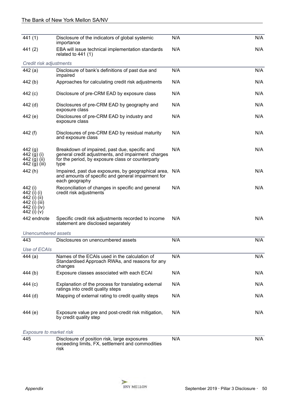| 441 (1)                                                                                | Disclosure of the indicators of global systemic<br>importance                                                                                                    | N/A | N/A |
|----------------------------------------------------------------------------------------|------------------------------------------------------------------------------------------------------------------------------------------------------------------|-----|-----|
| 441 (2)                                                                                | EBA will issue technical implementation standards<br>related to $441(1)$                                                                                         | N/A | N/A |
| Credit risk adjustments                                                                |                                                                                                                                                                  |     |     |
| 442 (a)                                                                                | Disclosure of bank's definitions of past due and<br>impaired                                                                                                     | N/A | N/A |
| 442(b)                                                                                 | Approaches for calculating credit risk adjustments                                                                                                               | N/A | N/A |
| 442 (c)                                                                                | Disclosure of pre-CRM EAD by exposure class                                                                                                                      | N/A | N/A |
| 442 (d)                                                                                | Disclosures of pre-CRM EAD by geography and<br>exposure class                                                                                                    | N/A | N/A |
| 442 (e)                                                                                | Disclosures of pre-CRM EAD by industry and<br>exposure class                                                                                                     | N/A | N/A |
| 442 (f)                                                                                | Disclosures of pre-CRM EAD by residual maturity<br>and exposure class                                                                                            | N/A | N/A |
| 442(g)<br>442 (g) (i)<br>442 (g) (ii)<br>442 (g) (iii)                                 | Breakdown of impaired, past due, specific and<br>general credit adjustments, and impairment charges<br>for the period, by exposure class or counterparty<br>type | N/A | N/A |
| 442(h)                                                                                 | Impaired, past due exposures, by geographical area, N/A<br>and amounts of specific and general impairment for<br>each geography                                  |     | N/A |
| 442 (i)<br>442 (i) (i)<br>442 (i) (ii)<br>442 (i) (iii)<br>442 (i) (iv)<br>442 (i) (v) | Reconciliation of changes in specific and general<br>credit risk adjustments                                                                                     | N/A | N/A |
| 442 endnote                                                                            | Specific credit risk adjustments recorded to income<br>statement are disclosed separately                                                                        | N/A | N/A |
| Unencumbered assets                                                                    |                                                                                                                                                                  |     |     |
| 443                                                                                    | Disclosures on unencumbered assets                                                                                                                               | N/A | N/A |
| Use of ECAIs                                                                           |                                                                                                                                                                  |     |     |
| 444(a)                                                                                 | Names of the ECAIs used in the calculation of<br>Standardised Approach RWAs, and reasons for any<br>changes                                                      | N/A | N/A |
| 444 (b)                                                                                | Exposure classes associated with each ECAI                                                                                                                       | N/A | N/A |
| 444 (c)                                                                                | Explanation of the process for translating external<br>ratings into credit quality steps                                                                         | N/A | N/A |
| 444 (d)                                                                                | Mapping of external rating to credit quality steps                                                                                                               | N/A | N/A |
| 444 (e)                                                                                | Exposure value pre and post-credit risk mitigation,<br>by credit quality step                                                                                    | N/A | N/A |
| Exposure to market risk                                                                |                                                                                                                                                                  |     |     |
| 445                                                                                    | Disclosure of position risk, large exposures<br>exceeding limits, FX, settlement and commodities<br>risk                                                         | N/A | N/A |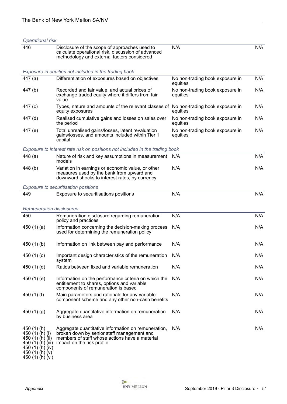| Operational risk                                                                                                                        |                                                                                                                                                                                   |                                             |     |
|-----------------------------------------------------------------------------------------------------------------------------------------|-----------------------------------------------------------------------------------------------------------------------------------------------------------------------------------|---------------------------------------------|-----|
| 446                                                                                                                                     | Disclosure of the scope of approaches used to<br>calculate operational risk, discussion of advanced<br>methodology and external factors considered                                | N/A                                         | N/A |
|                                                                                                                                         | Exposure in equities not included in the trading book                                                                                                                             |                                             |     |
| 447 (a)                                                                                                                                 | Differentiation of exposures based on objectives                                                                                                                                  | No non-trading book exposure in<br>equities | N/A |
| 447 (b)                                                                                                                                 | Recorded and fair value, and actual prices of<br>exchange traded equity where it differs from fair<br>value                                                                       | No non-trading book exposure in<br>equities | N/A |
| 447 (c)                                                                                                                                 | Types, nature and amounts of the relevant classes of No non-trading book exposure in<br>equity exposures                                                                          | equities                                    | N/A |
| 447 (d)                                                                                                                                 | Realised cumulative gains and losses on sales over<br>the period                                                                                                                  | No non-trading book exposure in<br>equities | N/A |
| 447 (e)                                                                                                                                 | Total unrealised gains/losses, latent revaluation<br>gains/losses, and amounts included within Tier 1<br>capital                                                                  | No non-trading book exposure in<br>equities | N/A |
|                                                                                                                                         | Exposure to interest rate risk on positions not included in the trading book                                                                                                      |                                             |     |
| 448(a)                                                                                                                                  | Nature of risk and key assumptions in measurement<br>models                                                                                                                       | N/A                                         | N/A |
| 448 (b)                                                                                                                                 | Variation in earnings or economic value, or other<br>measures used by the bank from upward and<br>downward shocks to interest rates, by currency                                  | N/A                                         | N/A |
|                                                                                                                                         | Exposure to securitisation positions                                                                                                                                              |                                             |     |
| 449                                                                                                                                     | Exposure to securitisations positions                                                                                                                                             | N/A                                         | N/A |
| <b>Remuneration disclosures</b>                                                                                                         |                                                                                                                                                                                   |                                             |     |
| 450                                                                                                                                     | Remuneration disclosure regarding remuneration<br>policy and practices                                                                                                            | N/A                                         | N/A |
| 450 $(1)(a)$                                                                                                                            | Information concerning the decision-making process<br>used for determining the remuneration policy                                                                                | N/A                                         | N/A |
| 450 $(1)(b)$                                                                                                                            | Information on link between pay and performance                                                                                                                                   | N/A                                         | N/A |
| 450 $(1)(c)$                                                                                                                            | Important design characteristics of the remuneration<br>system                                                                                                                    | N/A                                         | N/A |
| 450 $(1)(d)$                                                                                                                            | Ratios between fixed and variable remuneration                                                                                                                                    | N/A                                         | N/A |
| 450 $(1)(e)$                                                                                                                            | Information on the performance criteria on which the<br>entitlement to shares, options and variable<br>components of remuneration is based                                        | N/A                                         | N/A |
| 450 $(1)$ $(f)$                                                                                                                         | Main parameters and rationale for any variable<br>component scheme and any other non-cash benefits                                                                                | N/A                                         | N/A |
| 450 $(1)(g)$                                                                                                                            | Aggregate quantitative information on remuneration<br>by business area                                                                                                            | N/A                                         | N/A |
| 450 (1) (h)<br>450 $(1)$ $(h)$ $(i)$<br>450 (1) (h) (ii)<br>450 (1) (h) (iii)<br>450 $(1)(h)(iv)$<br>450 (1) (h) (v)<br>450 LAÍ LAÍ Lui | Aggregate quantitative information on remuneration,<br>broken down by senior staff management and<br>members of staff whose actions have a material<br>impact on the risk profile | N/A                                         | N/A |

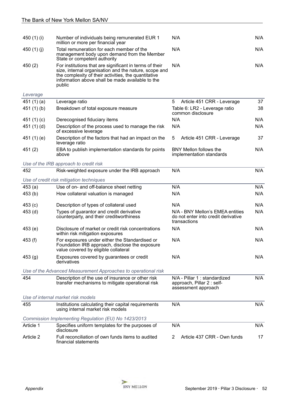| 450 (1) (i)     | Number of individuals being remunerated EUR 1<br>million or more per financial year                                                                                                                                                    | N/A                                                                                     | N/A |
|-----------------|----------------------------------------------------------------------------------------------------------------------------------------------------------------------------------------------------------------------------------------|-----------------------------------------------------------------------------------------|-----|
| 450 $(1)$ $(j)$ | Total remuneration for each member of the<br>management body upon demand from the Member<br>State or competent authority                                                                                                               | N/A                                                                                     | N/A |
| 450(2)          | For institutions that are significant in terms of their<br>size, internal organisation and the nature, scope and<br>the complexity of their activities, the quantitative<br>information above shall be made available to the<br>public | N/A                                                                                     | N/A |
| Leverage        |                                                                                                                                                                                                                                        |                                                                                         |     |
| 451 $(1)(a)$    | Leverage ratio                                                                                                                                                                                                                         | 5<br>Article 451 CRR - Leverage                                                         | 37  |
| 451(1)(b)       | Breakdown of total exposure measure                                                                                                                                                                                                    | Table 6: LR2 - Leverage ratio<br>common disclosure                                      | 38  |
| 451 $(1)(c)$    | Derecognised fiduciary items                                                                                                                                                                                                           | N/A                                                                                     | N/A |
| 451 $(1)(d)$    | Description of the process used to manage the risk<br>of excessive leverage                                                                                                                                                            | N/A                                                                                     | N/A |
| 451 $(1)$ $(e)$ | Description of the factors that had an impact on the<br>leverage ratio                                                                                                                                                                 | 5<br>Article 451 CRR - Leverage                                                         | 37  |
| 451(2)          | EBA to publish implementation standards for points<br>above                                                                                                                                                                            | BNY Mellon follows the<br>implementation standards                                      | N/A |
|                 | Use of the IRB approach to credit risk                                                                                                                                                                                                 |                                                                                         |     |
| 452             | Risk-weighted exposure under the IRB approach                                                                                                                                                                                          | N/A                                                                                     | N/A |
|                 | Use of credit risk mitigation techniques                                                                                                                                                                                               |                                                                                         |     |
| 453(a)          | Use of on- and off-balance sheet netting                                                                                                                                                                                               | N/A                                                                                     | N/A |
| 453(b)          | How collateral valuation is managed                                                                                                                                                                                                    | N/A                                                                                     | N/A |
| 453(c)          | Description of types of collateral used                                                                                                                                                                                                | N/A                                                                                     | N/A |
| 453 (d)         | Types of guarantor and credit derivative<br>counterparty, and their creditworthiness                                                                                                                                                   | N/A - BNY Mellon's EMEA entities<br>do not enter into credit derivative<br>transactions | N/A |
| 453(e)          | Disclosure of market or credit risk concentrations<br>within risk mitigation exposures                                                                                                                                                 | N/A                                                                                     | N/A |
| 453 (f)         | For exposures under either the Standardised or<br>Foundation IRB approach, disclose the exposure<br>value covered by eligible collateral                                                                                               | N/A                                                                                     | N/A |
| 453(g)          | Exposures covered by guarantees or credit<br>derivatives                                                                                                                                                                               | N/A                                                                                     | N/A |
|                 | Use of the Advanced Measurement Approaches to operational risk                                                                                                                                                                         |                                                                                         |     |
| 454             | Description of the use of insurance or other risk<br>transfer mechanisms to mitigate operational risk                                                                                                                                  | N/A - Pillar 1 : standardized<br>approach, Pillar 2 : self-<br>assessment approach      | N/A |
|                 | Use of internal market risk models                                                                                                                                                                                                     |                                                                                         |     |
| 455             | Institutions calculating their capital requirements<br>using internal market risk models                                                                                                                                               | N/A                                                                                     | N/A |
|                 | Commission Implementing Regulation (EU) No 1423/2013                                                                                                                                                                                   |                                                                                         |     |
| Article 1       | Specifies uniform templates for the purposes of<br>disclosure                                                                                                                                                                          | N/A                                                                                     | N/A |
| Article 2       | Full reconciliation of own funds items to audited<br>financial statements                                                                                                                                                              | Article 437 CRR - Own funds<br>2                                                        | 17  |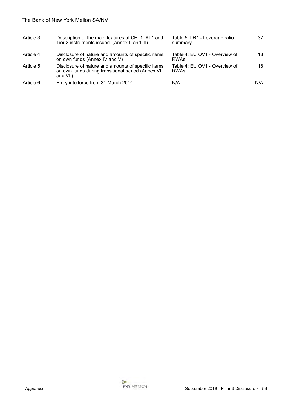| Article 3 | Description of the main features of CET1, AT1 and<br>Tier 2 instruments issued (Annex II and III)                    | Table 5: LR1 - Leverage ratio<br>summary     | 37  |
|-----------|----------------------------------------------------------------------------------------------------------------------|----------------------------------------------|-----|
| Article 4 | Disclosure of nature and amounts of specific items<br>on own funds (Annex IV and V)                                  | Table 4: EU OV1 - Overview of<br><b>RWAs</b> | 18  |
| Article 5 | Disclosure of nature and amounts of specific items<br>on own funds during transitional period (Annex VI)<br>and VII) | Table 4: EU OV1 - Overview of<br><b>RWAs</b> | 18  |
| Article 6 | Entry into force from 31 March 2014                                                                                  | N/A                                          | N/A |